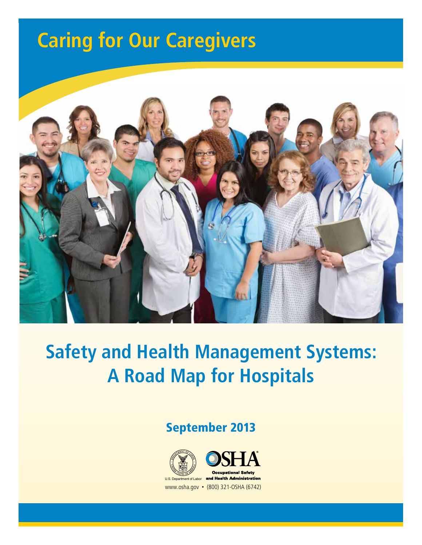# **Caring for Our Caregivers**



# **Safety and Health Management Systems: A Road Map for Hospitals**

## September 2013



**1**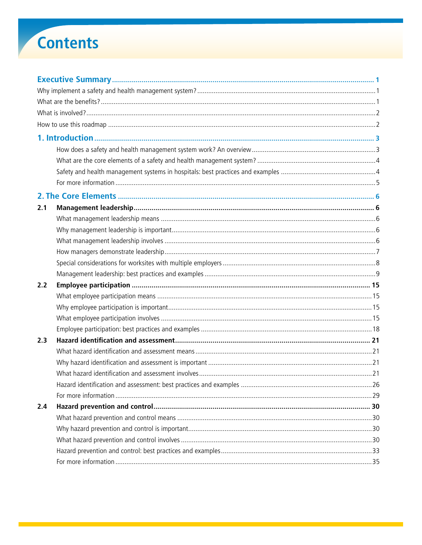# **Contents**

| 2.1 |  |  |  |  |  |
|-----|--|--|--|--|--|
|     |  |  |  |  |  |
|     |  |  |  |  |  |
|     |  |  |  |  |  |
|     |  |  |  |  |  |
|     |  |  |  |  |  |
|     |  |  |  |  |  |
| 2.2 |  |  |  |  |  |
|     |  |  |  |  |  |
|     |  |  |  |  |  |
|     |  |  |  |  |  |
|     |  |  |  |  |  |
| 2.3 |  |  |  |  |  |
|     |  |  |  |  |  |
|     |  |  |  |  |  |
|     |  |  |  |  |  |
|     |  |  |  |  |  |
|     |  |  |  |  |  |
| 2.4 |  |  |  |  |  |
|     |  |  |  |  |  |
|     |  |  |  |  |  |
|     |  |  |  |  |  |
|     |  |  |  |  |  |
|     |  |  |  |  |  |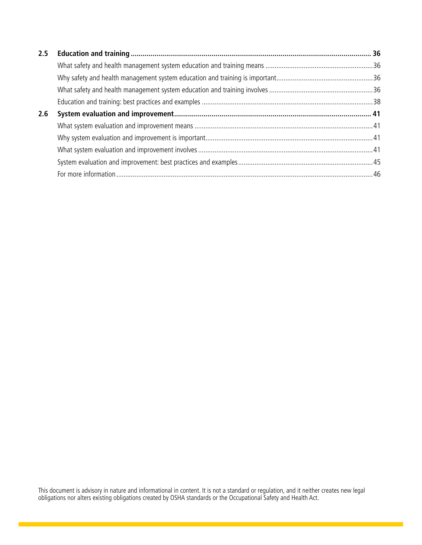| 2.5 |  |
|-----|--|
|     |  |
|     |  |
|     |  |
|     |  |
| 2.6 |  |
|     |  |
|     |  |
|     |  |
|     |  |
|     |  |

This document is advisory in nature and informational in content. It is not a standard or regulation, and it neither creates new legal obligations nor alters existing obligations created by OSHA standards or the Occupational Safety and Health Act.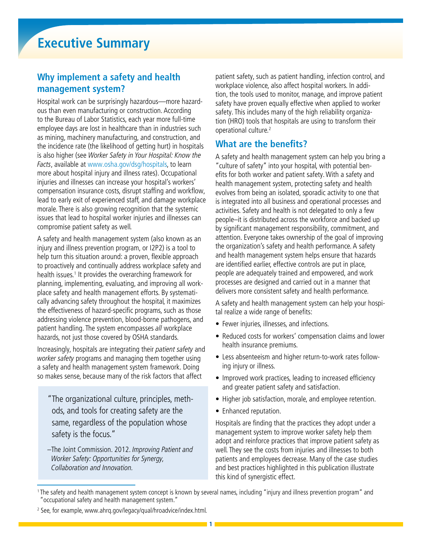### **Why implement a safety and health management system?**

Hospital work can be surprisingly hazardous—more hazardous than even manufacturing or construction. According to the Bureau of Labor Statistics, each year more full-time employee days are lost in healthcare than in industries such as mining, machinery manufacturing, and construction, and the incidence rate (the likelihood of getting hurt) in hospitals is also higher (see Worker Safety in Your Hospital: Know the Facts, available at www.osha.gov/dsg/hospitals, to learn more about hospital injury and illness rates). Occupational injuries and illnesses can increase your hospital's workers' compensation insurance costs, disrupt staffing and workflow, lead to early exit of experienced staff, and damage workplace morale. There is also growing recognition that the systemic issues that lead to hospital worker injuries and illnesses can compromise patient safety as well.

A safety and health management system (also known as an injury and illness prevention program, or I2P2) is a tool to help turn this situation around: a proven, flexible approach to proactively and continually address workplace safety and health issues.<sup>1</sup> It provides the overarching framework for planning, implementing, evaluating, and improving all workplace safety and health management efforts. By systematically advancing safety throughout the hospital, it maximizes the effectiveness of hazard-specific programs, such as those addressing violence prevention, blood-borne pathogens, and patient handling. The system encompasses all workplace hazards, not just those covered by OSHA standards.

Increasingly, hospitals are integrating their patient safety and worker safety programs and managing them together using a safety and health management system framework. Doing so makes sense, because many of the risk factors that affect

"The organizational culture, principles, methods, and tools for creating safety are the same, regardless of the population whose safety is the focus."

–The Joint Commission. 2012. Improving Patient and Worker Safety: Opportunities for Synergy, Collaboration and Innovation.

patient safety, such as patient handling, infection control, and workplace violence, also affect hospital workers. In addition, the tools used to monitor, manage, and improve patient safety have proven equally effective when applied to worker safety. This includes many of the high reliability organization (HRO) tools that hospitals are using to transform their operational culture.2

### **What are the benefits?**

A safety and health management system can help you bring a "culture of safety" into your hospital, with potential benefits for both worker and patient safety. With a safety and health management system, protecting safety and health evolves from being an isolated, sporadic activity to one that is integrated into all business and operational processes and activities. Safety and health is not delegated to only a few people–it is distributed across the workforce and backed up by significant management responsibility, commitment, and attention. Everyone takes ownership of the goal of improving the organization's safety and health performance. A safety and health management system helps ensure that hazards are identified earlier, effective controls are put in place, people are adequately trained and empowered, and work processes are designed and carried out in a manner that delivers more consistent safety and health performance.

A safety and health management system can help your hospital realize a wide range of benefits:

- Fewer injuries, illnesses, and infections.
- Reduced costs for workers' compensation claims and lower health insurance premiums.
- Less absenteeism and higher return-to-work rates following injury or illness.
- Improved work practices, leading to increased efficiency and greater patient safety and satisfaction.
- Higher job satisfaction, morale, and employee retention.
- Enhanced reputation.

Hospitals are finding that the practices they adopt under a management system to improve worker safety help them adopt and reinforce practices that improve patient safety as well. They see the costs from injuries and illnesses to both patients and employees decrease. Many of the case studies and best practices highlighted in this publication illustrate this kind of synergistic effect.

**1**

<sup>&</sup>lt;sup>1</sup>The safety and health management system concept is known by several names, including "injury and illness prevention program" and "occupational safety and health management system."

<sup>&</sup>lt;sup>2</sup> See, for example, www.ahrq.gov/legacy/qual/hroadvice/index.html.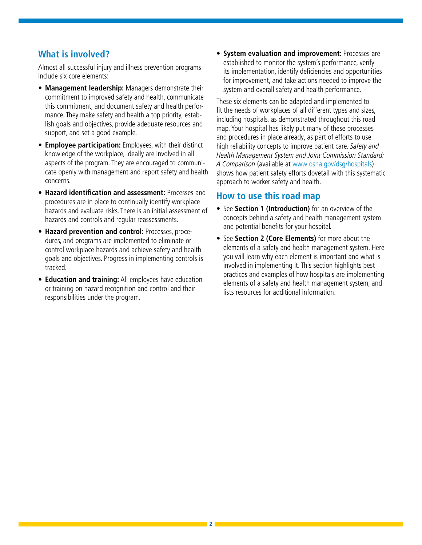### **What is involved?**

Almost all successful injury and illness prevention programs include six core elements:

- **• Management leadership:** Managers demonstrate their commitment to improved safety and health, communicate this commitment, and document safety and health performance. They make safety and health a top priority, establish goals and objectives, provide adequate resources and support, and set a good example.
- **• Employee participation:** Employees, with their distinct knowledge of the workplace, ideally are involved in all aspects of the program. They are encouraged to communicate openly with management and report safety and health concerns.
- **• Hazard identification and assessment:** Processes and procedures are in place to continually identify workplace hazards and evaluate risks. There is an initial assessment of hazards and controls and regular reassessments.
- **Hazard prevention and control:** Processes, procedures, and programs are implemented to eliminate or control workplace hazards and achieve safety and health goals and objectives. Progress in implementing controls is tracked.
- **Education and training:** All employees have education or training on hazard recognition and control and their responsibilities under the program.

• **System evaluation and improvement:** Processes are established to monitor the system's performance, verify its implementation, identify deficiencies and opportunities for improvement, and take actions needed to improve the system and overall safety and health performance.

These six elements can be adapted and implemented to fit the needs of workplaces of all different types and sizes, including hospitals, as demonstrated throughout this road map. Your hospital has likely put many of these processes and procedures in place already, as part of efforts to use high reliability concepts to improve patient care. Safety and Health Management System and Joint Commission Standard: A Comparison (available at www.osha.gov/dsg/hospitals) shows how patient safety efforts dovetail with this systematic approach to worker safety and health.

### **How to use this road map**

- See **Section 1 (Introduction)** for an overview of the concepts behind a safety and health management system and potential benefits for your hospital.
- See **Section 2 (Core Elements)** for more about the elements of a safety and health management system. Here you will learn why each element is important and what is involved in implementing it. This section highlights best practices and examples of how hospitals are implementing elements of a safety and health management system, and lists resources for additional information.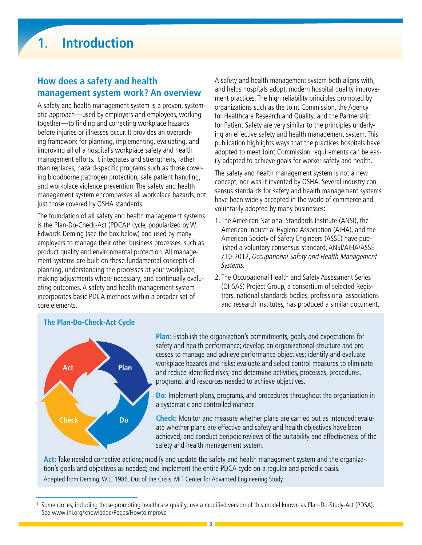### **How does a safety and health management system work? An overview**

A safety and health management system is a proven, systematic approach—used by employers and employees, working together—to finding and correcting workplace hazards before injuries or illnesses occur. It provides an overarching framework for planning, implementing, evaluating, and improving all of a hospital's workplace safety and health management efforts. It integrates and strengthens, rather than replaces, hazard-specific programs such as those covering bloodborne pathogen protection, safe patient handling, and workplace violence prevention. The safety and health management system encompasses all workplace hazards, not just those covered by OSHA standards.

The foundation of all safety and health management systems is the Plan-Do-Check-Act (PDCA)<sup>3</sup> cycle, popularized by W. Edwards Deming (see the box below) and used by many employers to manage their other business processes, such as product quality and environmental protection. All management systems are built on these fundamental concepts of planning, understanding the processes at your workplace, making adjustments where necessary, and continually evaluating outcomes. A safety and health management system incorporates basic PDCA methods within a broader set of core elements.

A safety and health management system both aligns with, and helps hospitals adopt, modern hospital quality improvement practices. The high reliability principles promoted by organizations such as the Joint Commission, the Agency for Healthcare Research and Quality, and the Partnership for Patient Safety are very similar to the principles underlying an effective safety and health management system. This publication highlights ways that the practices hospitals have adopted to meet Joint Commission requirements can be easily adapted to achieve goals for worker safety and health.

The safety and health management system is not a new concept, nor was it invented by OSHA. Several industry consensus standards for safety and health management systems have been widely accepted in the world of commerce and voluntarily adopted by many businesses:

- 1. The American National Standards Institute (ANSI), the American Industrial Hygiene Association (AIHA), and the American Society of Safety Engineers (ASSE) have published a voluntary consensus standard, ANSI/AIHA/ASSE Z10-2012, Occupational Safety and Health Management Systems.
- 2. The Occupational Health and Safety Assessment Series (OHSAS) Project Group, a consortium of selected Registrars, national standards bodies, professional associations and research institutes, has produced a similar document,



#### **The Plan-Do-Check-Act Cycle**

**Plan:** Establish the organization's commitments, goals, and expectations for safety and health performance; develop an organizational structure and processes to manage and achieve performance objectives; identify and evaluate workplace hazards and risks; evaluate and select control measures to eliminate and reduce identified risks; and determine activities, processes, procedures, programs, and resources needed to achieve objectives.

**Do:** Implement plans, programs, and procedures throughout the organization in a systematic and controlled manner.

**Check:** Monitor and measure whether plans are carried out as intended; evaluate whether plans are effective and safety and health objectives have been achieved; and conduct periodic reviews of the suitability and effectiveness of the safety and health management system.

**Act:** Take needed corrective actions; modify and update the safety and health management system and the organization's goals and objectives as needed; and implement the entire PDCA cycle on a regular and periodic basis. Adapted from Deming, W.E. 1986. Out of the Crisis. MIT Center for Advanced Engineering Study.

<sup>3</sup> Some circles, including those promoting healthcare quality, use a modified version of this model known as Plan-Do-Study-Act (PDSA). See www.ihi.org/knowledge/Pages/HowtoImprove.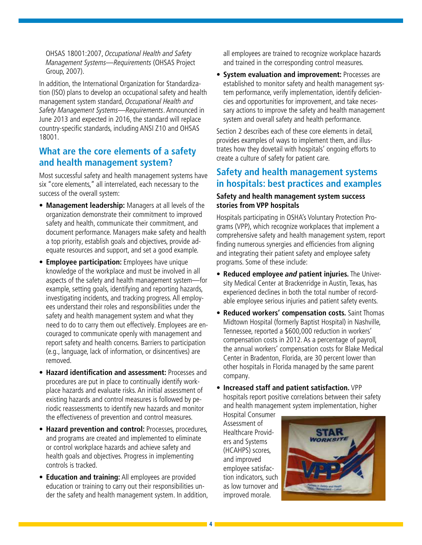OHSAS 18001:2007, Occupational Health and Safety Management Systems—Requirements (OHSAS Project Group, 2007).

In addition, the International Organization for Standardization (ISO) plans to develop an occupational safety and health management system standard, Occupational Health and Safety Management Systems—Requirements. Announced in June 2013 and expected in 2016, the standard will replace country-specific standards, including ANSI Z10 and OHSAS 18001.

### **What are the core elements of a safety and health management system?**

Most successful safety and health management systems have six "core elements," all interrelated, each necessary to the success of the overall system:

- **Management leadership:** Managers at all levels of the organization demonstrate their commitment to improved safety and health, communicate their commitment, and document performance. Managers make safety and health a top priority, establish goals and objectives, provide adequate resources and support, and set a good example.
- **Employee participation:** Employees have unique knowledge of the workplace and must be involved in all aspects of the safety and health management system—for example, setting goals, identifying and reporting hazards, investigating incidents, and tracking progress. All employees understand their roles and responsibilities under the safety and health management system and what they need to do to carry them out effectively. Employees are encouraged to communicate openly with management and report safety and health concerns. Barriers to participation (e.g., language, lack of information, or disincentives) are removed.
- **Hazard identification and assessment:** Processes and procedures are put in place to continually identify workplace hazards and evaluate risks. An initial assessment of existing hazards and control measures is followed by periodic reassessments to identify new hazards and monitor the effectiveness of prevention and control measures.
- **Hazard prevention and control:** Processes, procedures, and programs are created and implemented to eliminate or control workplace hazards and achieve safety and health goals and objectives. Progress in implementing controls is tracked.
- **Education and training:** All employees are provided education or training to carry out their responsibilities under the safety and health management system. In addition,

all employees are trained to recognize workplace hazards and trained in the corresponding control measures.

• **System evaluation and improvement:** Processes are established to monitor safety and health management system performance, verify implementation, identify deficiencies and opportunities for improvement, and take necessary actions to improve the safety and health management system and overall safety and health performance.

Section 2 describes each of these core elements in detail, provides examples of ways to implement them, and illustrates how they dovetail with hospitals' ongoing efforts to create a culture of safety for patient care.

### **Safety and health management systems in hospitals: best practices and examples**

#### **Safety and health management system success stories from VPP hospitals**

Hospitals participating in OSHA's Voluntary Protection Programs (VPP), which recognize workplaces that implement a comprehensive safety and health management system, report finding numerous synergies and efficiencies from aligning and integrating their patient safety and employee safety programs. Some of these include:

- **Reduced employee and patient injuries.** The University Medical Center at Brackenridge in Austin, Texas, has experienced declines in both the total number of recordable employee serious injuries and patient safety events.
- **Reduced workers' compensation costs.** Saint Thomas Midtown Hospital (formerly Baptist Hospital) in Nashville, Tennessee, reported a \$600,000 reduction in workers' compensation costs in 2012. As a percentage of payroll, the annual workers' compensation costs for Blake Medical Center in Bradenton, Florida, are 30 percent lower than other hospitals in Florida managed by the same parent company.
- **Increased staff and patient satisfaction.** VPP hospitals report positive correlations between their safety and health management system implementation, higher

Hospital Consumer Assessment of Healthcare Providers and Systems (HCAHPS) scores, and improved employee satisfaction indicators, such as low turnover and improved morale.

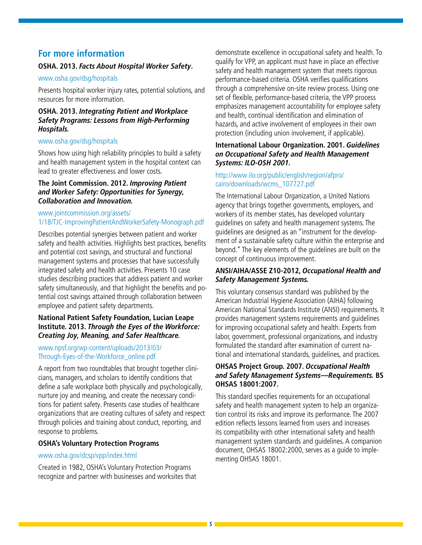#### **For more information**

#### **OSHA. 2013. Facts About Hospital Worker Safety.**

#### www.osha.gov/dsg/hospitals

Presents hospital worker injury rates, potential solutions, and resources for more information.

#### **OSHA. 2013. Integrating Patient and Workplace Safety Programs: Lessons from High-Performing Hospitals.**

#### www.osha.gov/dsg/hospitals

Shows how using high reliability principles to build a safety and health management system in the hospital context can lead to greater effectiveness and lower costs.

#### **The Joint Commission. 2012. Improving Patient and Worker Safety: Opportunities for Synergy, Collaboration and Innovation.**

#### [www.jointcommission.org/assets/](www.jointcommission.org/assets/1/18/TJC-ImprovingPatientAndWorkerSafety-Monograph.pdf) [1/18/TJC-ImprovingPatientAndWorkerSafety-Monograph.pdf](www.jointcommission.org/assets/1/18/TJC-ImprovingPatientAndWorkerSafety-Monograph.pdf)

Describes potential synergies between patient and worker safety and health activities. Highlights best practices, benefits and potential cost savings, and structural and functional management systems and processes that have successfully integrated safety and health activities. Presents 10 case studies describing practices that address patient and worker safety simultaneously, and that highlight the benefits and potential cost savings attained through collaboration between employee and patient safety departments.

#### **National Patient Safety Foundation, Lucian Leape Institute. 2013. Through the Eyes of the Workforce: Creating Joy, Meaning, and Safer Healthcare.**

#### [www.npsf.org/wp-content/uploads/2013/03/](www.npsf.org/wp-content/uploads/2013/03/Through-Eyes-of-the-Workforce_online.pdf) [Through-Eyes-of-the-Workforce\\_online.pdf](www.npsf.org/wp-content/uploads/2013/03/Through-Eyes-of-the-Workforce_online.pdf)

A report from two roundtables that brought together clinicians, managers, and scholars to identify conditions that define a safe workplace both physically and psychologically, nurture joy and meaning, and create the necessary conditions for patient safety. Presents case studies of healthcare organizations that are creating cultures of safety and respect through policies and training about conduct, reporting, and response to problems.

#### **OSHA's Voluntary Protection Programs**

#### www.osha.gov/dcsp/vpp/index.html

Created in 1982, OSHA's Voluntary Protection Programs recognize and partner with businesses and worksites that demonstrate excellence in occupational safety and health. To qualify for VPP, an applicant must have in place an effective safety and health management system that meets rigorous performance-based criteria. OSHA verifies qualifications through a comprehensive on-site review process. Using one set of flexible, performance-based criteria, the VPP process emphasizes management accountability for employee safety and health, continual identification and elimination of hazards, and active involvement of employees in their own protection (including union involvement, if applicable).

#### **International Labour Organization. 2001. Guidelines on Occupational Safety and Health Management Systems: ILO-OSH 2001.**

#### [http://www.ilo.org/public/english/region/afpro/](http://www.ilo.org/public/english/region/afpro/cairo/downloads/wcms_107727.pdf) [cairo/downloads/wcms\\_107727.pdf](http://www.ilo.org/public/english/region/afpro/cairo/downloads/wcms_107727.pdf)

The International Labour Organization, a United Nations agency that brings together governments, employers, and workers of its member states, has developed voluntary guidelines on safety and health management systems. The guidelines are designed as an "instrument for the development of a sustainable safety culture within the enterprise and beyond." The key elements of the guidelines are built on the concept of continuous improvement.

#### **ANSI/AIHA/ASSE Z10-2012, Occupational Health and Safety Management Systems.**

This voluntary consensus standard was published by the American Industrial Hygiene Association (AIHA) following American National Standards Institute (ANSI) requirements. It provides management systems requirements and guidelines for improving occupational safety and health. Experts from labor, government, professional organizations, and industry formulated the standard after examination of current national and international standards, guidelines, and practices.

#### **OHSAS Project Group. 2007. Occupational Health and Safety Management Systems—Requirements. BS OHSAS 18001:2007.**

This standard specifies requirements for an occupational safety and health management system to help an organization control its risks and improve its performance. The 2007 edition reflects lessons learned from users and increases its compatibility with other international safety and health management system standards and guidelines. A companion document, OHSAS 18002:2000, serves as a guide to implementing OHSAS 18001.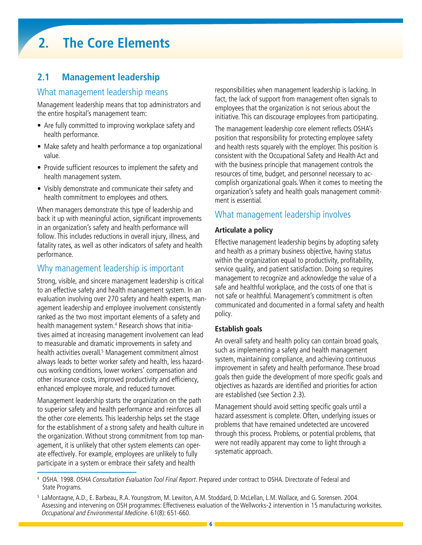## **2. The Core Elements**

### **2.1 Management leadership**

### What management leadership means

Management leadership means that top administrators and the entire hospital's management team:

- Are fully committed to improving workplace safety and health performance.
- Make safety and health performance a top organizational value.
- Provide sufficient resources to implement the safety and health management system.
- Visibly demonstrate and communicate their safety and health commitment to employees and others.

When managers demonstrate this type of leadership and back it up with meaningful action, significant improvements in an organization's safety and health performance will follow. This includes reductions in overall injury, illness, and fatality rates, as well as other indicators of safety and health performance.

#### Why management leadership is important

Strong, visible, and sincere management leadership is critical to an effective safety and health management system. In an evaluation involving over 270 safety and health experts, management leadership and employee involvement consistently ranked as the two most important elements of a safety and health management system.<sup>4</sup> Research shows that initiatives aimed at increasing management involvement can lead to measurable and dramatic improvements in safety and health activities overall.<sup>5</sup> Management commitment almost always leads to better worker safety and health, less hazardous working conditions, lower workers' compensation and other insurance costs, improved productivity and efficiency, enhanced employee morale, and reduced turnover.

Management leadership starts the organization on the path to superior safety and health performance and reinforces all the other core elements. This leadership helps set the stage for the establishment of a strong safety and health culture in the organization. Without strong commitment from top management, it is unlikely that other system elements can operate effectively. For example, employees are unlikely to fully participate in a system or embrace their safety and health

responsibilities when management leadership is lacking. In fact, the lack of support from management often signals to employees that the organization is not serious about the initiative. This can discourage employees from participating.

The management leadership core element reflects OSHA's position that responsibility for protecting employee safety and health rests squarely with the employer. This position is consistent with the Occupational Safety and Health Act and with the business principle that management controls the resources of time, budget, and personnel necessary to accomplish organizational goals. When it comes to meeting the organization's safety and health goals management commitment is essential.

#### What management leadership involves

#### **Articulate a policy**

Effective management leadership begins by adopting safety and health as a primary business objective, having status within the organization equal to productivity, profitability, service quality, and patient satisfaction. Doing so requires management to recognize and acknowledge the value of a safe and healthful workplace, and the costs of one that is not safe or healthful. Management's commitment is often communicated and documented in a formal safety and health policy.

#### **Establish goals**

An overall safety and health policy can contain broad goals, such as implementing a safety and health management system, maintaining compliance, and achieving continuous improvement in safety and health performance. These broad goals then guide the development of more specific goals and objectives as hazards are identified and priorities for action are established (see Section 2.3).

Management should avoid setting specific goals until a hazard assessment is complete. Often, underlying issues or problems that have remained undetected are uncovered through this process. Problems, or potential problems, that were not readily apparent may come to light through a systematic approach.

<sup>&</sup>lt;sup>4</sup> OSHA. 1998. OSHA Consultation Evaluation Tool Final Report. Prepared under contract to OSHA. Directorate of Federal and State Programs.

<sup>5</sup> LaMontagne, A.D., E. Barbeau, R.A. Youngstrom, M. Lewiton, A.M. Stoddard, D. McLellan, L.M. Wallace, and G. Sorensen. 2004. Assessing and intervening on OSH programmes: Effectiveness evaluation of the Wellworks-2 intervention in 15 manufacturing worksites. Occupational and Environmental Medicine. 61(8): 651-660.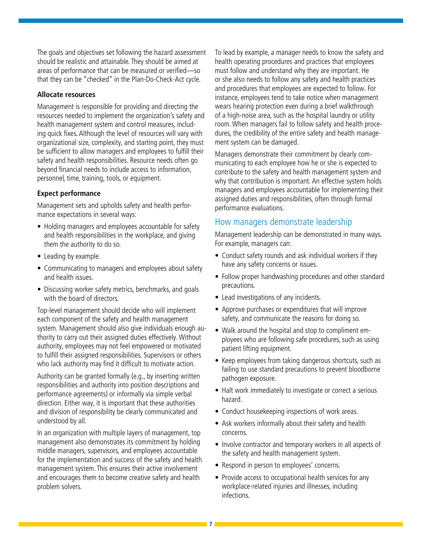The goals and objectives set following the hazard assessment should be realistic and attainable. They should be aimed at areas of performance that can be measured or verified—so that they can be "checked" in the Plan-Do-Check-Act cycle.

#### **Allocate resources**

Management is responsible for providing and directing the resources needed to implement the organization's safety and health management system and control measures, including quick fixes. Although the level of resources will vary with organizational size, complexity, and starting point, they must be sufficient to allow managers and employees to fulfill their safety and health responsibilities. Resource needs often go beyond financial needs to include access to information, personnel, time, training, tools, or equipment.

#### **Expect performance**

Management sets and upholds safety and health performance expectations in several ways:

- Holding managers and employees accountable for safety and health responsibilities in the workplace, and giving them the authority to do so.
- Leading by example.
- Communicating to managers and employees about safety and health issues.
- Discussing worker safety metrics, benchmarks, and goals with the board of directors.

Top-level management should decide who will implement each component of the safety and health management system. Management should also give individuals enough authority to carry out their assigned duties effectively. Without authority, employees may not feel empowered or motivated to fulfill their assigned responsibilities. Supervisors or others who lack authority may find it difficult to motivate action.

Authority can be granted formally (e.g., by inserting written responsibilities and authority into position descriptions and performance agreements) or informally via simple verbal direction. Either way, it is important that these authorities and division of responsibility be clearly communicated and understood by all.

In an organization with multiple layers of management, top management also demonstrates its commitment by holding middle managers, supervisors, and employees accountable for the implementation and success of the safety and health management system. This ensures their active involvement and encourages them to become creative safety and health problem solvers.

To lead by example, a manager needs to know the safety and health operating procedures and practices that employees must follow and understand why they are important. He or she also needs to follow any safety and health practices and procedures that employees are expected to follow. For instance, employees tend to take notice when management wears hearing protection even during a brief walkthrough of a high-noise area, such as the hospital laundry or utility room. When managers fail to follow safety and health procedures, the credibility of the entire safety and health management system can be damaged.

Managers demonstrate their commitment by clearly communicating to each employee how he or she is expected to contribute to the safety and health management system and why that contribution is important. An effective system holds managers and employees accountable for implementing their assigned duties and responsibilities, often through formal performance evaluations.

#### How managers demonstrate leadership

Management leadership can be demonstrated in many ways. For example, managers can:

- Conduct safety rounds and ask individual workers if they have any safety concerns or issues.
- Follow proper handwashing procedures and other standard precautions.
- Lead investigations of any incidents.
- Approve purchases or expenditures that will improve safety, and communicate the reasons for doing so.
- Walk around the hospital and stop to compliment employees who are following safe procedures, such as using patient lifting equipment.
- Keep employees from taking dangerous shortcuts, such as failing to use standard precautions to prevent bloodborne pathogen exposure.
- Halt work immediately to investigate or correct a serious hazard.
- Conduct housekeeping inspections of work areas.
- Ask workers informally about their safety and health concerns.
- Involve contractor and temporary workers in all aspects of the safety and health management system.
- Respond in person to employees' concerns.
- Provide access to occupational health services for any workplace-related injuries and illnesses, including infections.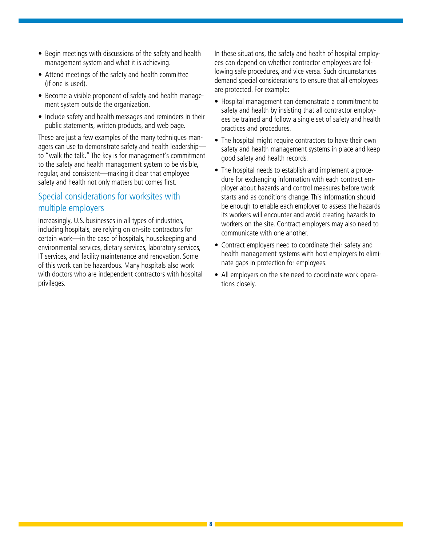- Begin meetings with discussions of the safety and health management system and what it is achieving.
- Attend meetings of the safety and health committee (if one is used).
- Become a visible proponent of safety and health management system outside the organization.
- Include safety and health messages and reminders in their public statements, written products, and web page.

These are just a few examples of the many techniques managers can use to demonstrate safety and health leadership to "walk the talk." The key is for management's commitment to the safety and health management system to be visible, regular, and consistent—making it clear that employee safety and health not only matters but comes first.

### Special considerations for worksites with multiple employers

Increasingly, U.S. businesses in all types of industries, including hospitals, are relying on on-site contractors for certain work—in the case of hospitals, housekeeping and environmental services, dietary services, laboratory services, IT services, and facility maintenance and renovation. Some of this work can be hazardous. Many hospitals also work with doctors who are independent contractors with hospital privileges.

In these situations, the safety and health of hospital employees can depend on whether contractor employees are following safe procedures, and vice versa. Such circumstances demand special considerations to ensure that all employees are protected. For example:

- Hospital management can demonstrate a commitment to safety and health by insisting that all contractor employees be trained and follow a single set of safety and health practices and procedures.
- The hospital might require contractors to have their own safety and health management systems in place and keep good safety and health records.
- The hospital needs to establish and implement a procedure for exchanging information with each contract employer about hazards and control measures before work starts and as conditions change. This information should be enough to enable each employer to assess the hazards its workers will encounter and avoid creating hazards to workers on the site. Contract employers may also need to communicate with one another.
- Contract employers need to coordinate their safety and health management systems with host employers to eliminate gaps in protection for employees.
- All employers on the site need to coordinate work operations closely.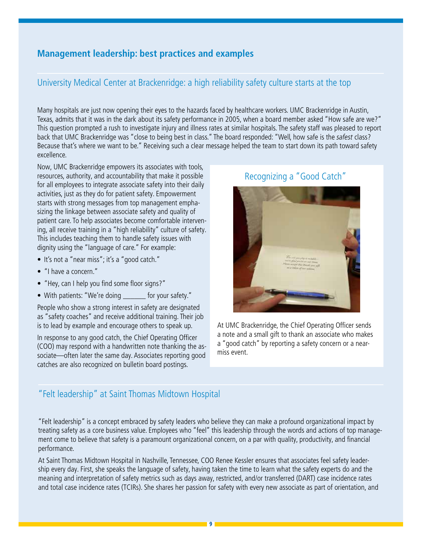### **Management leadership: best practices and examples**

### University Medical Center at Brackenridge: a high reliability safety culture starts at the top

Many hospitals are just now opening their eyes to the hazards faced by healthcare workers. UMC Brackenridge in Austin, Texas, admits that it was in the dark about its safety performance in 2005, when a board member asked "How safe are we?" This question prompted a rush to investigate injury and illness rates at similar hospitals. The safety staff was pleased to report back that UMC Brackenridge was "close to being best in class." The board responded: "Well, how safe is the safest class? Because that's where we want to be." Receiving such a clear message helped the team to start down its path toward safety excellence.

Now, UMC Brackenridge empowers its associates with tools, resources, authority, and accountability that make it possible for all employees to integrate associate safety into their daily activities, just as they do for patient safety. Empowerment starts with strong messages from top management emphasizing the linkage between associate safety and quality of patient care. To help associates become comfortable intervening, all receive training in a "high reliability" culture of safety. This includes teaching them to handle safety issues with dignity using the "language of care." For example:

- It's not a "near miss"; it's a "good catch."
- "I have a concern."
- "Hey, can I help you find some floor signs?"
- With patients: "We're doing for your safety."

People who show a strong interest in safety are designated as "safety coaches" and receive additional training. Their job is to lead by example and encourage others to speak up.

In response to any good catch, the Chief Operating Officer (COO) may respond with a handwritten note thanking the associate—often later the same day. Associates reporting good catches are also recognized on bulletin board postings.

#### Recognizing a "Good Catch"



At UMC Brackenridge, the Chief Operating Officer sends a note and a small gift to thank an associate who makes a "good catch" by reporting a safety concern or a nearmiss event.

### "Felt leadership" at Saint Thomas Midtown Hospital

"Felt leadership" is a concept embraced by safety leaders who believe they can make a profound organizational impact by treating safety as a core business value. Employees who "feel" this leadership through the words and actions of top management come to believe that safety is a paramount organizational concern, on a par with quality, productivity, and financial performance.

At Saint Thomas Midtown Hospital in Nashville, Tennessee, COO Renee Kessler ensures that associates feel safety leadership every day. First, she speaks the language of safety, having taken the time to learn what the safety experts do and the meaning and interpretation of safety metrics such as days away, restricted, and/or transferred (DART) case incidence rates and total case incidence rates (TCIRs). She shares her passion for safety with every new associate as part of orientation, and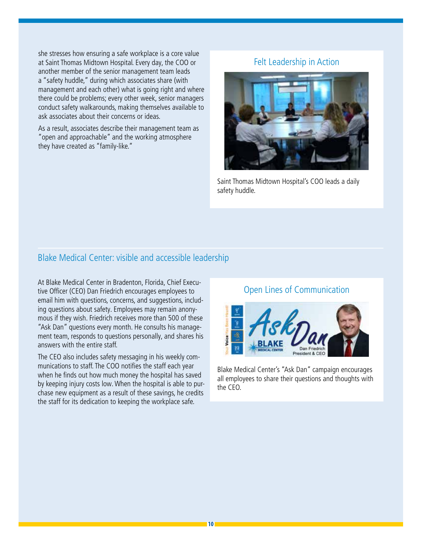she stresses how ensuring a safe workplace is a core value at Saint Thomas Midtown Hospital. Every day, the COO or another member of the senior management team leads a "safety huddle," during which associates share (with management and each other) what is going right and where there could be problems; every other week, senior managers conduct safety walkarounds, making themselves available to ask associates about their concerns or ideas.

As a result, associates describe their management team as "open and approachable" and the working atmosphere they have created as "family-like."

#### Felt Leadership in Action



Saint Thomas Midtown Hospital's COO leads a daily safety huddle.

#### Blake Medical Center: visible and accessible leadership

At Blake Medical Center in Bradenton, Florida, Chief Executive Officer (CEO) Dan Friedrich encourages employees to email him with questions, concerns, and suggestions, including questions about safety. Employees may remain anonymous if they wish. Friedrich receives more than 500 of these "Ask Dan" questions every month. He consults his management team, responds to questions personally, and shares his answers with the entire staff.

The CEO also includes safety messaging in his weekly communications to staff. The COO notifies the staff each year when he finds out how much money the hospital has saved by keeping injury costs low. When the hospital is able to purchase new equipment as a result of these savings, he credits the staff for its dedication to keeping the workplace safe.

#### Open Lines of Communication



Blake Medical Center's "Ask Dan" campaign encourages all employees to share their questions and thoughts with the CEO.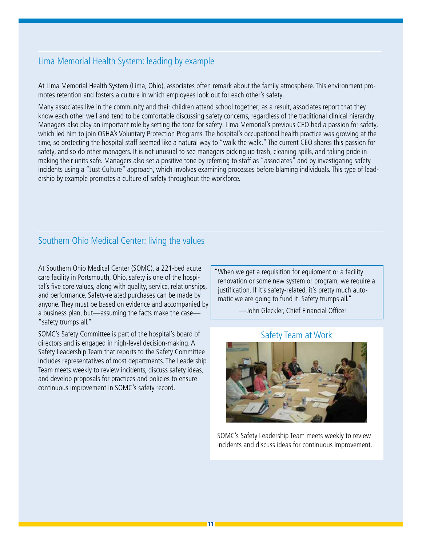### Lima Memorial Health System: leading by example

At Lima Memorial Health System (Lima, Ohio), associates often remark about the family atmosphere. This environment promotes retention and fosters a culture in which employees look out for each other's safety.

Many associates live in the community and their children attend school together; as a result, associates report that they know each other well and tend to be comfortable discussing safety concerns, regardless of the traditional clinical hierarchy. Managers also play an important role by setting the tone for safety. Lima Memorial's previous CEO had a passion for safety, which led him to join OSHA's Voluntary Protection Programs. The hospital's occupational health practice was growing at the time, so protecting the hospital staff seemed like a natural way to "walk the walk." The current CEO shares this passion for safety, and so do other managers. It is not unusual to see managers picking up trash, cleaning spills, and taking pride in making their units safe. Managers also set a positive tone by referring to staff as "associates" and by investigating safety incidents using a "Just Culture" approach, which involves examining processes before blaming individuals. This type of leadership by example promotes a culture of safety throughout the workforce.

### Southern Ohio Medical Center: living the values

At Southern Ohio Medical Center (SOMC), a 221-bed acute care facility in Portsmouth, Ohio, safety is one of the hospital's five core values, along with quality, service, relationships, and performance. Safety-related purchases can be made by anyone. They must be based on evidence and accompanied by a business plan, but—assuming the facts make the case— "safety trumps all."

SOMC's Safety Committee is part of the hospital's board of directors and is engaged in high-level decision-making. A Safety Leadership Team that reports to the Safety Committee includes representatives of most departments. The Leadership Team meets weekly to review incidents, discuss safety ideas, and develop proposals for practices and policies to ensure continuous improvement in SOMC's safety record.

"When we get a requisition for equipment or a facility renovation or some new system or program, we require a justification. If it's safety-related, it's pretty much automatic we are going to fund it. Safety trumps all."

—John Gleckler, Chief Financial Officer

#### Safety Team at Work



SOMC's Safety Leadership Team meets weekly to review incidents and discuss ideas for continuous improvement.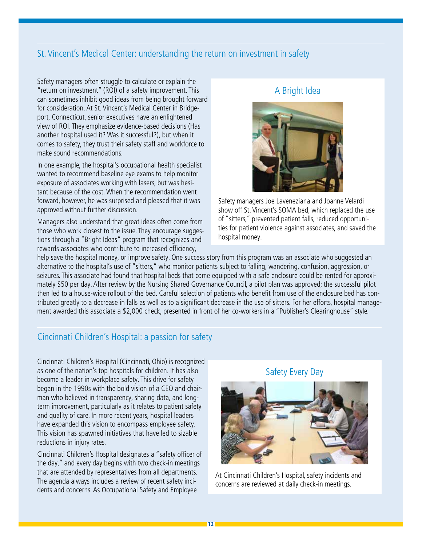### St. Vincent's Medical Center: understanding the return on investment in safety

Safety managers often struggle to calculate or explain the "return on investment" (ROI) of a safety improvement. This can sometimes inhibit good ideas from being brought forward for consideration. At St. Vincent's Medical Center in Bridgeport, Connecticut, senior executives have an enlightened view of ROI. They emphasize evidence-based decisions (Has another hospital used it? Was it successful?), but when it comes to safety, they trust their safety staff and workforce to make sound recommendations.

In one example, the hospital's occupational health specialist wanted to recommend baseline eye exams to help monitor exposure of associates working with lasers, but was hesitant because of the cost. When the recommendation went forward, however, he was surprised and pleased that it was approved without further discussion.

Managers also understand that great ideas often come from those who work closest to the issue. They encourage suggestions through a "Bright Ideas" program that recognizes and rewards associates who contribute to increased efficiency,

#### A Bright Idea



Safety managers Joe Laveneziana and Joanne Velardi show off St. Vincent's SOMA bed, which replaced the use of "sitters," prevented patient falls, reduced opportunities for patient violence against associates, and saved the hospital money.

help save the hospital money, or improve safety. One success story from this program was an associate who suggested an alternative to the hospital's use of "sitters," who monitor patients subject to falling, wandering, confusion, aggression, or seizures. This associate had found that hospital beds that come equipped with a safe enclosure could be rented for approximately \$50 per day. After review by the Nursing Shared Governance Council, a pilot plan was approved; the successful pilot then led to a house-wide rollout of the bed. Careful selection of patients who benefit from use of the enclosure bed has contributed greatly to a decrease in falls as well as to a significant decrease in the use of sitters. For her efforts, hospital management awarded this associate a \$2,000 check, presented in front of her co-workers in a "Publisher's Clearinghouse" style.

#### Cincinnati Children's Hospital: a passion for safety

Cincinnati Children's Hospital (Cincinnati, Ohio) is recognized as one of the nation's top hospitals for children. It has also become a leader in workplace safety. This drive for safety began in the 1990s with the bold vision of a CEO and chairman who believed in transparency, sharing data, and longterm improvement, particularly as it relates to patient safety and quality of care. In more recent years, hospital leaders have expanded this vision to encompass employee safety. This vision has spawned initiatives that have led to sizable reductions in injury rates.

Cincinnati Children's Hospital designates a "safety officer of the day," and every day begins with two check-in meetings that are attended by representatives from all departments. The agenda always includes a review of recent safety incidents and concerns. As Occupational Safety and Employee



At Cincinnati Children's Hospital, safety incidents and concerns are reviewed at daily check-in meetings.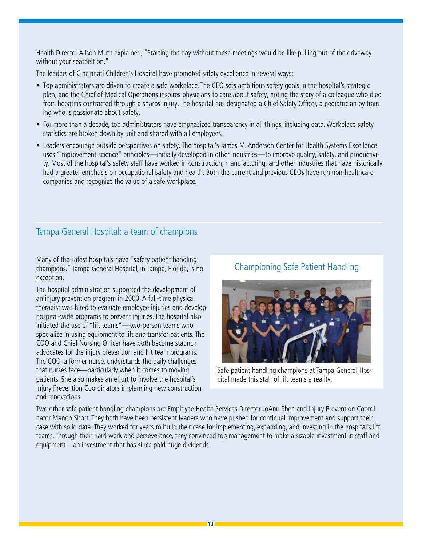Health Director Alison Muth explained, "Starting the day without these meetings would be like pulling out of the driveway without your seatbelt on."

The leaders of Cincinnati Children's Hospital have promoted safety excellence in several ways:

- Top administrators are driven to create a safe workplace. The CEO sets ambitious safety goals in the hospital's strategic plan, and the Chief of Medical Operations inspires physicians to care about safety, noting the story of a colleague who died from hepatitis contracted through a sharps injury. The hospital has designated a Chief Safety Officer, a pediatrician by training who is passionate about safety.
- For more than a decade, top administrators have emphasized transparency in all things, including data. Workplace safety statistics are broken down by unit and shared with all employees.
- Leaders encourage outside perspectives on safety. The hospital's James M. Anderson Center for Health Systems Excellence uses "improvement science" principles—initially developed in other industries—to improve quality, safety, and productivity. Most of the hospital's safety staff have worked in construction, manufacturing, and other industries that have historically had a greater emphasis on occupational safety and health. Both the current and previous CEOs have run non-healthcare companies and recognize the value of a safe workplace.

### Tampa General Hospital: a team of champions

Many of the safest hospitals have "safety patient handling champions." Tampa General Hospital, in Tampa, Florida, is no exception.

The hospital administration supported the development of an injury prevention program in 2000. A full-time physical therapist was hired to evaluate employee injuries and develop hospital-wide programs to prevent injuries. The hospital also initiated the use of "lift teams"—two-person teams who specialize in using equipment to lift and transfer patients. The COO and Chief Nursing Officer have both become staunch advocates for the injury prevention and lift team programs. The COO, a former nurse, understands the daily challenges that nurses face—particularly when it comes to moving patients. She also makes an effort to involve the hospital's Injury Prevention Coordinators in planning new construction and renovations.

### Championing Safe Patient Handling



Safe patient handling champions at Tampa General Hospital made this staff of lift teams a reality.

Two other safe patient handling champions are Employee Health Services Director JoAnn Shea and Injury Prevention Coordinator Manon Short. They both have been persistent leaders who have pushed for continual improvement and support their case with solid data. They worked for years to build their case for implementing, expanding, and investing in the hospital's lift teams. Through their hard work and perseverance, they convinced top management to make a sizable investment in staff and equipment—an investment that has since paid huge dividends.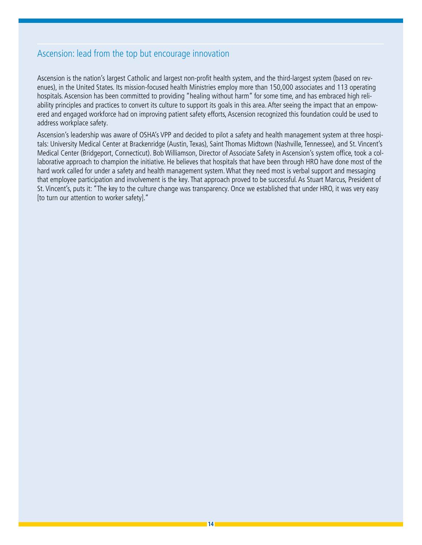### Ascension: lead from the top but encourage innovation

Ascension is the nation's largest Catholic and largest non-profit health system, and the third-largest system (based on revenues), in the United States. Its mission-focused health Ministries employ more than 150,000 associates and 113 operating hospitals. Ascension has been committed to providing "healing without harm" for some time, and has embraced high reliability principles and practices to convert its culture to support its goals in this area. After seeing the impact that an empowered and engaged workforce had on improving patient safety efforts, Ascension recognized this foundation could be used to address workplace safety.

Ascension's leadership was aware of OSHA's VPP and decided to pilot a safety and health management system at three hospitals: University Medical Center at Brackenridge (Austin, Texas), Saint Thomas Midtown (Nashville, Tennessee), and St. Vincent's Medical Center (Bridgeport, Connecticut). Bob Williamson, Director of Associate Safety in Ascension's system office, took a collaborative approach to champion the initiative. He believes that hospitals that have been through HRO have done most of the hard work called for under a safety and health management system. What they need most is verbal support and messaging that employee participation and involvement is the key. That approach proved to be successful. As Stuart Marcus, President of St. Vincent's, puts it: "The key to the culture change was transparency. Once we established that under HRO, it was very easy [to turn our attention to worker safety]."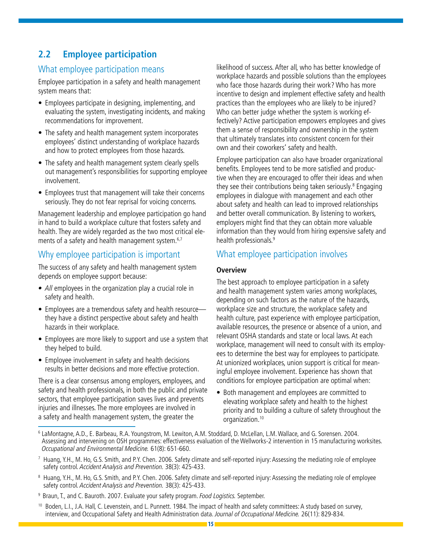### **2.2 Employee participation**

### What employee participation means

Employee participation in a safety and health management system means that:

- Employees participate in designing, implementing, and evaluating the system, investigating incidents, and making recommendations for improvement.
- The safety and health management system incorporates employees' distinct understanding of workplace hazards and how to protect employees from those hazards.
- The safety and health management system clearly spells out management's responsibilities for supporting employee involvement.
- Employees trust that management will take their concerns seriously. They do not fear reprisal for voicing concerns.

Management leadership and employee participation go hand in hand to build a workplace culture that fosters safety and health. They are widely regarded as the two most critical elements of a safety and health management system.<sup>6,7</sup>

### Why employee participation is important

The success of any safety and health management system depends on employee support because:

- All employees in the organization play a crucial role in safety and health.
- Employees are a tremendous safety and health resource they have a distinct perspective about safety and health hazards in their workplace.
- Employees are more likely to support and use a system that they helped to build.
- Employee involvement in safety and health decisions results in better decisions and more effective protection.

There is a clear consensus among employers, employees, and safety and health professionals, in both the public and private sectors, that employee participation saves lives and prevents injuries and illnesses. The more employees are involved in a safety and health management system, the greater the

likelihood of success. After all, who has better knowledge of workplace hazards and possible solutions than the employees who face those hazards during their work? Who has more incentive to design and implement effective safety and health practices than the employees who are likely to be injured? Who can better judge whether the system is working effectively? Active participation empowers employees and gives them a sense of responsibility and ownership in the system that ultimately translates into consistent concern for their own and their coworkers' safety and health.

Employee participation can also have broader organizational benefits. Employees tend to be more satisfied and productive when they are encouraged to offer their ideas and when they see their contributions being taken seriously.<sup>8</sup> Engaging employees in dialogue with management and each other about safety and health can lead to improved relationships and better overall communication. By listening to workers, employers might find that they can obtain more valuable information than they would from hiring expensive safety and health professionals.<sup>9</sup>

### What employee participation involves

#### **Overview**

The best approach to employee participation in a safety and health management system varies among workplaces, depending on such factors as the nature of the hazards, workplace size and structure, the workplace safety and health culture, past experience with employee participation, available resources, the presence or absence of a union, and relevant OSHA standards and state or local laws. At each workplace, management will need to consult with its employees to determine the best way for employees to participate. At unionized workplaces, union support is critical for meaningful employee involvement. Experience has shown that conditions for employee participation are optimal when:

• Both management and employees are committed to elevating workplace safety and health to the highest priority and to building a culture of safety throughout the organization.10

- <sup>9</sup> Braun, T., and C. Bauroth. 2007. Evaluate your safety program. Food Logistics. September.
- 10 Boden, L.I., J.A. Hall, C. Levenstein, and L. Punnett. 1984. The impact of health and safety committees: A study based on survey, interview, and Occupational Safety and Health Administration data. Journal of Occupational Medicine. 26(11): 829-834.

<sup>6</sup> LaMontagne, A.D., E. Barbeau, R.A. Youngstrom, M. Lewiton, A.M. Stoddard, D. McLellan, L.M. Wallace, and G. Sorensen. 2004. Assessing and intervening on OSH programmes: effectiveness evaluation of the Wellworks-2 intervention in 15 manufacturing worksites. Occupational and Environmental Medicine. 61(8): 651-660.

<sup>7</sup> Huang, Y.H., M. Ho, G.S. Smith, and P.Y. Chen. 2006. Safety climate and self-reported injury: Assessing the mediating role of employee safety control. Accident Analysis and Prevention. 38(3): 425-433.

 $^{\circ}$  Huang, Y.H., M. Ho, G.S. Smith, and P.Y. Chen. 2006. Safety climate and self-reported injury: Assessing the mediating role of employee safety control. Accident Analysis and Prevention. 38(3): 425-433.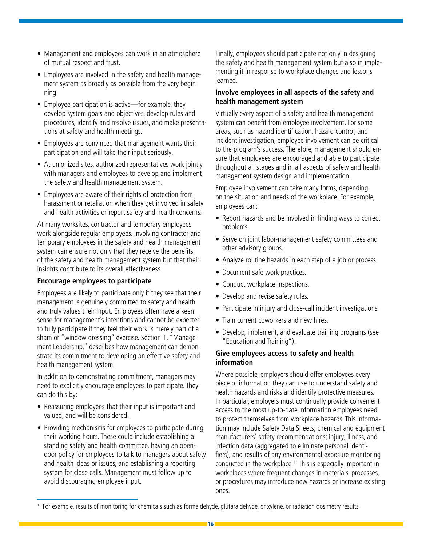- Management and employees can work in an atmosphere of mutual respect and trust.
- Employees are involved in the safety and health management system as broadly as possible from the very beginning.
- Employee participation is active—for example, they develop system goals and objectives, develop rules and procedures, identify and resolve issues, and make presentations at safety and health meetings.
- Employees are convinced that management wants their participation and will take their input seriously.
- At unionized sites, authorized representatives work jointly with managers and employees to develop and implement the safety and health management system.
- Employees are aware of their rights of protection from harassment or retaliation when they get involved in safety and health activities or report safety and health concerns.

At many worksites, contractor and temporary employees work alongside regular employees. Involving contractor and temporary employees in the safety and health management system can ensure not only that they receive the benefits of the safety and health management system but that their insights contribute to its overall effectiveness.

#### **Encourage employees to participate**

Employees are likely to participate only if they see that their management is genuinely committed to safety and health and truly values their input. Employees often have a keen sense for management's intentions and cannot be expected to fully participate if they feel their work is merely part of a sham or "window dressing" exercise. Section 1, "Management Leadership," describes how management can demonstrate its commitment to developing an effective safety and health management system.

In addition to demonstrating commitment, managers may need to explicitly encourage employees to participate. They can do this by:

- Reassuring employees that their input is important and valued, and will be considered.
- Providing mechanisms for employees to participate during their working hours. These could include establishing a standing safety and health committee, having an opendoor policy for employees to talk to managers about safety and health ideas or issues, and establishing a reporting system for close calls. Management must follow up to avoid discouraging employee input.

Finally, employees should participate not only in designing the safety and health management system but also in implementing it in response to workplace changes and lessons learned.

#### **Involve employees in all aspects of the safety and health management system**

Virtually every aspect of a safety and health management system can benefit from employee involvement. For some areas, such as hazard identification, hazard control, and incident investigation, employee involvement can be critical to the program's success. Therefore, management should ensure that employees are encouraged and able to participate throughout all stages and in all aspects of safety and health management system design and implementation.

Employee involvement can take many forms, depending on the situation and needs of the workplace. For example, employees can:

- Report hazards and be involved in finding ways to correct problems.
- Serve on joint labor-management safety committees and other advisory groups.
- Analyze routine hazards in each step of a job or process.
- Document safe work practices.
- Conduct workplace inspections.
- Develop and revise safety rules.
- Participate in injury and close-call incident investigations.
- Train current coworkers and new hires.
- Develop, implement, and evaluate training programs (see "Education and Training").

#### **Give employees access to safety and health information**

Where possible, employers should offer employees every piece of information they can use to understand safety and health hazards and risks and identify protective measures. In particular, employers must continually provide convenient access to the most up-to-date information employees need to protect themselves from workplace hazards. This information may include Safety Data Sheets; chemical and equipment manufacturers' safety recommendations; injury, illness, and infection data (aggregated to eliminate personal identifiers), and results of any environmental exposure monitoring conducted in the workplace.<sup>11</sup> This is especially important in workplaces where frequent changes in materials, processes, or procedures may introduce new hazards or increase existing ones.

<sup>11</sup> For example, results of monitoring for chemicals such as formaldehyde, glutaraldehyde, or xylene, or radiation dosimetry results.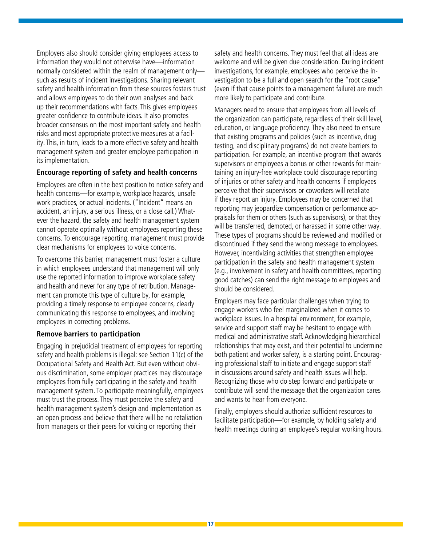Employers also should consider giving employees access to information they would not otherwise have—information normally considered within the realm of management only such as results of incident investigations. Sharing relevant safety and health information from these sources fosters trust and allows employees to do their own analyses and back up their recommendations with facts. This gives employees greater confidence to contribute ideas. It also promotes broader consensus on the most important safety and health risks and most appropriate protective measures at a facility. This, in turn, leads to a more effective safety and health management system and greater employee participation in its implementation.

#### **Encourage reporting of safety and health concerns**

Employees are often in the best position to notice safety and health concerns—for example, workplace hazards, unsafe work practices, or actual incidents. ("Incident" means an accident, an injury, a serious illness, or a close call.) Whatever the hazard, the safety and health management system cannot operate optimally without employees reporting these concerns. To encourage reporting, management must provide clear mechanisms for employees to voice concerns.

To overcome this barrier, management must foster a culture in which employees understand that management will only use the reported information to improve workplace safety and health and never for any type of retribution. Management can promote this type of culture by, for example, providing a timely response to employee concerns, clearly communicating this response to employees, and involving employees in correcting problems.

#### **Remove barriers to participation**

Engaging in prejudicial treatment of employees for reporting safety and health problems is illegal: see Section 11(c) of the Occupational Safety and Health Act. But even without obvious discrimination, some employer practices may discourage employees from fully participating in the safety and health management system. To participate meaningfully, employees must trust the process. They must perceive the safety and health management system's design and implementation as an open process and believe that there will be no retaliation from managers or their peers for voicing or reporting their

safety and health concerns. They must feel that all ideas are welcome and will be given due consideration. During incident investigations, for example, employees who perceive the investigation to be a full and open search for the "root cause" (even if that cause points to a management failure) are much more likely to participate and contribute.

Managers need to ensure that employees from all levels of the organization can participate, regardless of their skill level, education, or language proficiency. They also need to ensure that existing programs and policies (such as incentive, drug testing, and disciplinary programs) do not create barriers to participation. For example, an incentive program that awards supervisors or employees a bonus or other rewards for maintaining an injury-free workplace could discourage reporting of injuries or other safety and health concerns if employees perceive that their supervisors or coworkers will retaliate if they report an injury. Employees may be concerned that reporting may jeopardize compensation or performance appraisals for them or others (such as supervisors), or that they will be transferred, demoted, or harassed in some other way. These types of programs should be reviewed and modified or discontinued if they send the wrong message to employees. However, incentivizing activities that strengthen employee participation in the safety and health management system (e.g., involvement in safety and health committees, reporting good catches) can send the right message to employees and should be considered.

Employers may face particular challenges when trying to engage workers who feel marginalized when it comes to workplace issues. In a hospital environment, for example, service and support staff may be hesitant to engage with medical and administrative staff. Acknowledging hierarchical relationships that may exist, and their potential to undermine both patient and worker safety, is a starting point. Encouraging professional staff to initiate and engage support staff in discussions around safety and health issues will help. Recognizing those who do step forward and participate or contribute will send the message that the organization cares and wants to hear from everyone.

Finally, employers should authorize sufficient resources to facilitate participation—for example, by holding safety and health meetings during an employee's regular working hours.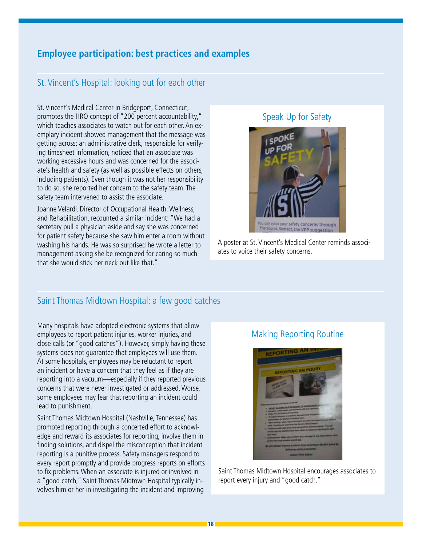### **Employee participation: best practices and examples**

### St. Vincent's Hospital: looking out for each other

St. Vincent's Medical Center in Bridgeport, Connecticut, promotes the HRO concept of "200 percent accountability," which teaches associates to watch out for each other. An exemplary incident showed management that the message was getting across: an administrative clerk, responsible for verifying timesheet information, noticed that an associate was working excessive hours and was concerned for the associate's health and safety (as well as possible effects on others, including patients). Even though it was not her responsibility to do so, she reported her concern to the safety team. The safety team intervened to assist the associate.

Joanne Velardi, Director of Occupational Health, Wellness, and Rehabilitation, recounted a similar incident: "We had a secretary pull a physician aside and say she was concerned for patient safety because she saw him enter a room without washing his hands. He was so surprised he wrote a letter to management asking she be recognized for caring so much that she would stick her neck out like that."

#### Speak Up for Safety



A poster at St. Vincent's Medical Center reminds associates to voice their safety concerns.

### Saint Thomas Midtown Hospital: a few good catches

Many hospitals have adopted electronic systems that allow employees to report patient injuries, worker injuries, and close calls (or "good catches"). However, simply having these systems does not guarantee that employees will use them. At some hospitals, employees may be reluctant to report an incident or have a concern that they feel as if they are reporting into a vacuum—especially if they reported previous concerns that were never investigated or addressed. Worse, some employees may fear that reporting an incident could lead to punishment.

Saint Thomas Midtown Hospital (Nashville, Tennessee) has promoted reporting through a concerted effort to acknowledge and reward its associates for reporting, involve them in finding solutions, and dispel the misconception that incident reporting is a punitive process. Safety managers respond to every report promptly and provide progress reports on efforts to fix problems. When an associate is injured or involved in a "good catch," Saint Thomas Midtown Hospital typically involves him or her in investigating the incident and improving

#### Making Reporting Routine



Saint Thomas Midtown Hospital encourages associates to report every injury and "good catch."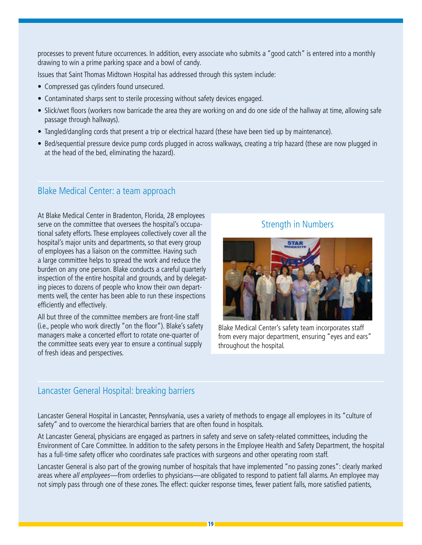processes to prevent future occurrences. In addition, every associate who submits a "good catch" is entered into a monthly drawing to win a prime parking space and a bowl of candy.

Issues that Saint Thomas Midtown Hospital has addressed through this system include:

- Compressed gas cylinders found unsecured.
- Contaminated sharps sent to sterile processing without safety devices engaged.
- Slick/wet floors (workers now barricade the area they are working on and do one side of the hallway at time, allowing safe passage through hallways).
- Tangled/dangling cords that present a trip or electrical hazard (these have been tied up by maintenance).
- Bed/sequential pressure device pump cords plugged in across walkways, creating a trip hazard (these are now plugged in at the head of the bed, eliminating the hazard).

### Blake Medical Center: a team approach

At Blake Medical Center in Bradenton, Florida, 28 employees serve on the committee that oversees the hospital's occupational safety efforts. These employees collectively cover all the hospital's major units and departments, so that every group of employees has a liaison on the committee. Having such a large committee helps to spread the work and reduce the burden on any one person. Blake conducts a careful quarterly inspection of the entire hospital and grounds, and by delegating pieces to dozens of people who know their own departments well, the center has been able to run these inspections efficiently and effectively.

All but three of the committee members are front-line staff (i.e., people who work directly "on the floor"). Blake's safety managers make a concerted effort to rotate one-quarter of the committee seats every year to ensure a continual supply of fresh ideas and perspectives.

### Strength in Numbers



Blake Medical Center's safety team incorporates staff from every major department, ensuring "eyes and ears" throughout the hospital.

### Lancaster General Hospital: breaking barriers

Lancaster General Hospital in Lancaster, Pennsylvania, uses a variety of methods to engage all employees in its "culture of safety" and to overcome the hierarchical barriers that are often found in hospitals.

At Lancaster General, physicians are engaged as partners in safety and serve on safety-related committees, including the Environment of Care Committee. In addition to the safety persons in the Employee Health and Safety Department, the hospital has a full-time safety officer who coordinates safe practices with surgeons and other operating room staff.

Lancaster General is also part of the growing number of hospitals that have implemented "no passing zones": clearly marked areas where all employees—from orderlies to physicians—are obligated to respond to patient fall alarms. An employee may not simply pass through one of these zones. The effect: quicker response times, fewer patient falls, more satisfied patients,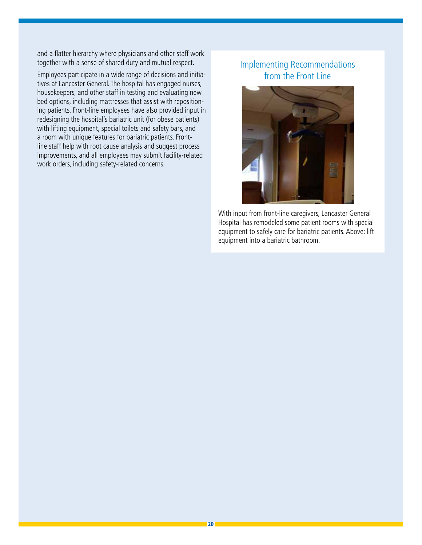and a flatter hierarchy where physicians and other staff work together with a sense of shared duty and mutual respect.

Employees participate in a wide range of decisions and initiatives at Lancaster General. The hospital has engaged nurses, housekeepers, and other staff in testing and evaluating new bed options, including mattresses that assist with repositioning patients. Front-line employees have also provided input in redesigning the hospital's bariatric unit (for obese patients) with lifting equipment, special toilets and safety bars, and a room with unique features for bariatric patients. Frontline staff help with root cause analysis and suggest process improvements, and all employees may submit facility-related work orders, including safety-related concerns.

### Implementing Recommendations from the Front Line



With input from front-line caregivers, Lancaster General Hospital has remodeled some patient rooms with special equipment to safely care for bariatric patients. Above: lift equipment into a bariatric bathroom.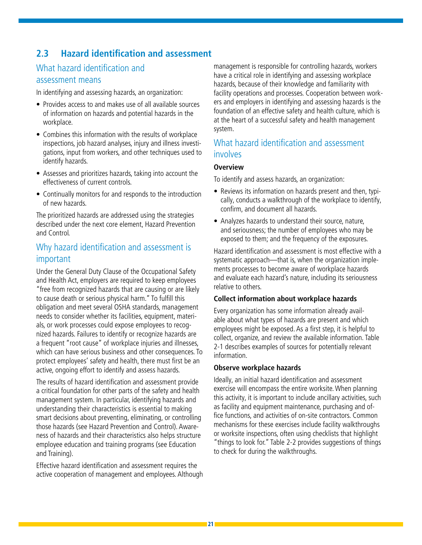### **2.3 Hazard identification and assessment**

### What hazard identification and assessment means

In identifying and assessing hazards, an organization:

- Provides access to and makes use of all available sources of information on hazards and potential hazards in the workplace.
- Combines this information with the results of workplace inspections, job hazard analyses, injury and illness investigations, input from workers, and other techniques used to identify hazards.
- Assesses and prioritizes hazards, taking into account the effectiveness of current controls.
- Continually monitors for and responds to the introduction of new hazards.

The prioritized hazards are addressed using the strategies described under the next core element, Hazard Prevention and Control.

### Why hazard identification and assessment is important

Under the General Duty Clause of the Occupational Safety and Health Act, employers are required to keep employees "free from recognized hazards that are causing or are likely to cause death or serious physical harm." To fulfill this obligation and meet several OSHA standards, management needs to consider whether its facilities, equipment, materials, or work processes could expose employees to recognized hazards. Failures to identify or recognize hazards are a frequent "root cause" of workplace injuries and illnesses, which can have serious business and other consequences. To protect employees' safety and health, there must first be an active, ongoing effort to identify and assess hazards.

The results of hazard identification and assessment provide a critical foundation for other parts of the safety and health management system. In particular, identifying hazards and understanding their characteristics is essential to making smart decisions about preventing, eliminating, or controlling those hazards (see Hazard Prevention and Control). Awareness of hazards and their characteristics also helps structure employee education and training programs (see Education and Training).

Effective hazard identification and assessment requires the active cooperation of management and employees. Although management is responsible for controlling hazards, workers have a critical role in identifying and assessing workplace hazards, because of their knowledge and familiarity with facility operations and processes. Cooperation between workers and employers in identifying and assessing hazards is the foundation of an effective safety and health culture, which is at the heart of a successful safety and health management system.

### What hazard identification and assessment involves

#### **Overview**

To identify and assess hazards, an organization:

- Reviews its information on hazards present and then, typically, conducts a walkthrough of the workplace to identify, confirm, and document all hazards.
- Analyzes hazards to understand their source, nature, and seriousness; the number of employees who may be exposed to them; and the frequency of the exposures.

Hazard identification and assessment is most effective with a systematic approach—that is, when the organization implements processes to become aware of workplace hazards and evaluate each hazard's nature, including its seriousness relative to others.

#### **Collect information about workplace hazards**

Every organization has some information already available about what types of hazards are present and which employees might be exposed. As a first step, it is helpful to collect, organize, and review the available information. Table 2-1 describes examples of sources for potentially relevant information.

#### **Observe workplace hazards**

Ideally, an initial hazard identification and assessment exercise will encompass the entire worksite. When planning this activity, it is important to include ancillary activities, such as facility and equipment maintenance, purchasing and office functions, and activities of on-site contractors. Common mechanisms for these exercises include facility walkthroughs or worksite inspections, often using checklists that highlight "things to look for." Table 2-2 provides suggestions of things to check for during the walkthroughs.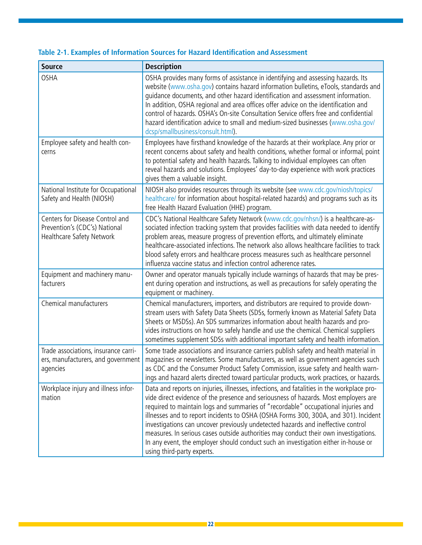| <b>Source</b>                                                                                 | <b>Description</b>                                                                                                                                                                                                                                                                                                                                                                                                                                                                                                                                                                                                                                           |
|-----------------------------------------------------------------------------------------------|--------------------------------------------------------------------------------------------------------------------------------------------------------------------------------------------------------------------------------------------------------------------------------------------------------------------------------------------------------------------------------------------------------------------------------------------------------------------------------------------------------------------------------------------------------------------------------------------------------------------------------------------------------------|
| <b>OSHA</b>                                                                                   | OSHA provides many forms of assistance in identifying and assessing hazards. Its<br>website (www.osha.gov) contains hazard information bulletins, eTools, standards and<br>quidance documents, and other hazard identification and assessment information.<br>In addition, OSHA regional and area offices offer advice on the identification and<br>control of hazards. OSHA's On-site Consultation Service offers free and confidential<br>hazard identification advice to small and medium-sized businesses (www.osha.gov/<br>dcsp/smallbusiness/consult.html).                                                                                            |
| Employee safety and health con-<br>cerns                                                      | Employees have firsthand knowledge of the hazards at their workplace. Any prior or<br>recent concerns about safety and health conditions, whether formal or informal, point<br>to potential safety and health hazards. Talking to individual employees can often<br>reveal hazards and solutions. Employees' day-to-day experience with work practices<br>gives them a valuable insight.                                                                                                                                                                                                                                                                     |
| National Institute for Occupational<br>Safety and Health (NIOSH)                              | NIOSH also provides resources through its website (see www.cdc.gov/niosh/topics/<br>healthcare/ for information about hospital-related hazards) and programs such as its<br>free Health Hazard Evaluation (HHE) program.                                                                                                                                                                                                                                                                                                                                                                                                                                     |
| Centers for Disease Control and<br>Prevention's (CDC's) National<br>Healthcare Safety Network | CDC's National Healthcare Safety Network (www.cdc.gov/nhsn/) is a healthcare-as-<br>sociated infection tracking system that provides facilities with data needed to identify<br>problem areas, measure progress of prevention efforts, and ultimately eliminate<br>healthcare-associated infections. The network also allows healthcare facilities to track<br>blood safety errors and healthcare process measures such as healthcare personnel<br>influenza vaccine status and infection control adherence rates.                                                                                                                                           |
| Equipment and machinery manu-<br>facturers                                                    | Owner and operator manuals typically include warnings of hazards that may be pres-<br>ent during operation and instructions, as well as precautions for safely operating the<br>equipment or machinery.                                                                                                                                                                                                                                                                                                                                                                                                                                                      |
| Chemical manufacturers                                                                        | Chemical manufacturers, importers, and distributors are required to provide down-<br>stream users with Safety Data Sheets (SDSs, formerly known as Material Safety Data<br>Sheets or MSDSs). An SDS summarizes information about health hazards and pro-<br>vides instructions on how to safely handle and use the chemical. Chemical suppliers<br>sometimes supplement SDSs with additional important safety and health information.                                                                                                                                                                                                                        |
| Trade associations, insurance carri-<br>ers, manufacturers, and government<br>agencies        | Some trade associations and insurance carriers publish safety and health material in<br>magazines or newsletters. Some manufacturers, as well as government agencies such<br>as CDC and the Consumer Product Safety Commission, issue safety and health warn-<br>ings and hazard alerts directed toward particular products, work practices, or hazards.                                                                                                                                                                                                                                                                                                     |
| Workplace injury and illness infor-<br>mation                                                 | Data and reports on injuries, illnesses, infections, and fatalities in the workplace pro-<br>vide direct evidence of the presence and seriousness of hazards. Most employers are<br>required to maintain logs and summaries of "recordable" occupational injuries and<br>illnesses and to report incidents to OSHA (OSHA Forms 300, 300A, and 301). Incident<br>investigations can uncover previously undetected hazards and ineffective control<br>measures. In serious cases outside authorities may conduct their own investigations.<br>In any event, the employer should conduct such an investigation either in-house or<br>using third-party experts. |

### **Table 2-1. Examples of Information Sources for Hazard Identification and Assessment**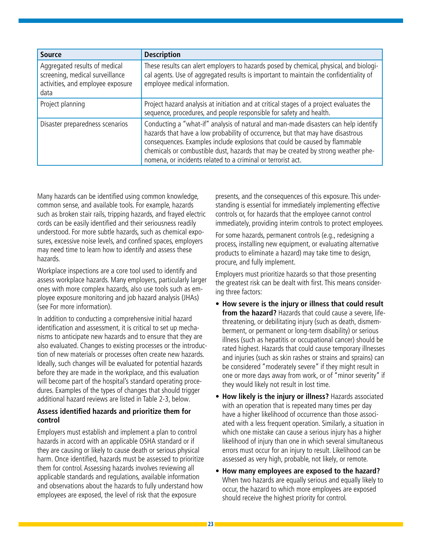| <b>Source</b>                                                                                                 | <b>Description</b>                                                                                                                                                                                                                                                                                                                                                                                         |
|---------------------------------------------------------------------------------------------------------------|------------------------------------------------------------------------------------------------------------------------------------------------------------------------------------------------------------------------------------------------------------------------------------------------------------------------------------------------------------------------------------------------------------|
| Aggregated results of medical<br>screening, medical surveillance<br>activities, and employee exposure<br>data | These results can alert employers to hazards posed by chemical, physical, and biologi-<br>cal agents. Use of aggregated results is important to maintain the confidentiality of<br>employee medical information.                                                                                                                                                                                           |
| Project planning                                                                                              | Project hazard analysis at initiation and at critical stages of a project evaluates the<br>sequence, procedures, and people responsible for safety and health.                                                                                                                                                                                                                                             |
| Disaster preparedness scenarios                                                                               | Conducting a "what-if" analysis of natural and man-made disasters can help identify<br>hazards that have a low probability of occurrence, but that may have disastrous<br>consequences. Examples include explosions that could be caused by flammable<br>chemicals or combustible dust, hazards that may be created by strong weather phe-<br>nomena, or incidents related to a criminal or terrorist act. |

Many hazards can be identified using common knowledge, common sense, and available tools. For example, hazards such as broken stair rails, tripping hazards, and frayed electric cords can be easily identified and their seriousness readily understood. For more subtle hazards, such as chemical exposures, excessive noise levels, and confined spaces, employers may need time to learn how to identify and assess these hazards.

Workplace inspections are a core tool used to identify and assess workplace hazards. Many employers, particularly larger ones with more complex hazards, also use tools such as employee exposure monitoring and job hazard analysis (JHAs) (see For more information).

In addition to conducting a comprehensive initial hazard identification and assessment, it is critical to set up mechanisms to anticipate new hazards and to ensure that they are also evaluated. Changes to existing processes or the introduction of new materials or processes often create new hazards. Ideally, such changes will be evaluated for potential hazards before they are made in the workplace, and this evaluation will become part of the hospital's standard operating procedures. Examples of the types of changes that should trigger additional hazard reviews are listed in Table 2-3, below.

#### **Assess identified hazards and prioritize them for control**

Employers must establish and implement a plan to control hazards in accord with an applicable OSHA standard or if they are causing or likely to cause death or serious physical harm. Once identified, hazards must be assessed to prioritize them for control. Assessing hazards involves reviewing all applicable standards and regulations, available information and observations about the hazards to fully understand how employees are exposed, the level of risk that the exposure

presents, and the consequences of this exposure. This understanding is essential for immediately implementing effective controls or, for hazards that the employee cannot control immediately, providing interim controls to protect employees.

For some hazards, permanent controls (e.g., redesigning a process, installing new equipment, or evaluating alternative products to eliminate a hazard) may take time to design, procure, and fully implement.

Employers must prioritize hazards so that those presenting the greatest risk can be dealt with first. This means considering three factors:

- **How severe is the injury or illness that could result from the hazard?** Hazards that could cause a severe, lifethreatening, or debilitating injury (such as death, dismemberment, or permanent or long-term disability) or serious illness (such as hepatitis or occupational cancer) should be rated highest. Hazards that could cause temporary illnesses and injuries (such as skin rashes or strains and sprains) can be considered "moderately severe" if they might result in one or more days away from work, or of "minor severity" if they would likely not result in lost time.
- **How likely is the injury or illness?** Hazards associated with an operation that is repeated many times per day have a higher likelihood of occurrence than those associated with a less frequent operation. Similarly, a situation in which one mistake can cause a serious injury has a higher likelihood of injury than one in which several simultaneous errors must occur for an injury to result. Likelihood can be assessed as very high, probable, not likely, or remote.
- **How many employees are exposed to the hazard?** When two hazards are equally serious and equally likely to occur, the hazard to which more employees are exposed should receive the highest priority for control.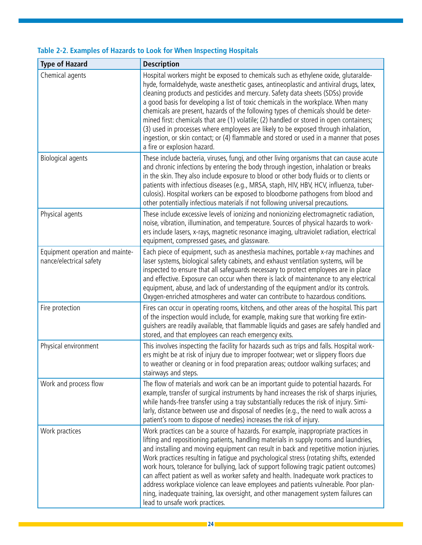| <b>Type of Hazard</b>                                      | <b>Description</b>                                                                                                                                                                                                                                                                                                                                                                                                                                                                                                                                                                                                                                                                                                                                               |
|------------------------------------------------------------|------------------------------------------------------------------------------------------------------------------------------------------------------------------------------------------------------------------------------------------------------------------------------------------------------------------------------------------------------------------------------------------------------------------------------------------------------------------------------------------------------------------------------------------------------------------------------------------------------------------------------------------------------------------------------------------------------------------------------------------------------------------|
| Chemical agents                                            | Hospital workers might be exposed to chemicals such as ethylene oxide, glutaralde-<br>hyde, formaldehyde, waste anesthetic gases, antineoplastic and antiviral drugs, latex,<br>cleaning products and pesticides and mercury. Safety data sheets (SDSs) provide<br>a good basis for developing a list of toxic chemicals in the workplace. When many<br>chemicals are present, hazards of the following types of chemicals should be deter-<br>mined first: chemicals that are (1) volatile; (2) handled or stored in open containers;<br>(3) used in processes where employees are likely to be exposed through inhalation,<br>ingestion, or skin contact; or (4) flammable and stored or used in a manner that poses<br>a fire or explosion hazard.            |
| <b>Biological agents</b>                                   | These include bacteria, viruses, fungi, and other living organisms that can cause acute<br>and chronic infections by entering the body through ingestion, inhalation or breaks<br>in the skin. They also include exposure to blood or other body fluids or to clients or<br>patients with infectious diseases (e.g., MRSA, staph, HIV, HBV, HCV, influenza, tuber-<br>culosis). Hospital workers can be exposed to bloodborne pathogens from blood and<br>other potentially infectious materials if not following universal precautions.                                                                                                                                                                                                                         |
| Physical agents                                            | These include excessive levels of ionizing and nonionizing electromagnetic radiation,<br>noise, vibration, illumination, and temperature. Sources of physical hazards to work-<br>ers include lasers, x-rays, magnetic resonance imaging, ultraviolet radiation, electrical<br>equipment, compressed gases, and glassware.                                                                                                                                                                                                                                                                                                                                                                                                                                       |
| Equipment operation and mainte-<br>nance/electrical safety | Each piece of equipment, such as anesthesia machines, portable x-ray machines and<br>laser systems, biological safety cabinets, and exhaust ventilation systems, will be<br>inspected to ensure that all safeguards necessary to protect employees are in place<br>and effective. Exposure can occur when there is lack of maintenance to any electrical<br>equipment, abuse, and lack of understanding of the equipment and/or its controls.<br>Oxygen-enriched atmospheres and water can contribute to hazardous conditions.                                                                                                                                                                                                                                   |
| Fire protection                                            | Fires can occur in operating rooms, kitchens, and other areas of the hospital. This part<br>of the inspection would include, for example, making sure that working fire extin-<br>guishers are readily available, that flammable liquids and gases are safely handled and<br>stored, and that employees can reach emergency exits.                                                                                                                                                                                                                                                                                                                                                                                                                               |
| Physical environment                                       | This involves inspecting the facility for hazards such as trips and falls. Hospital work-<br>ers might be at risk of injury due to improper footwear; wet or slippery floors due<br>to weather or cleaning or in food preparation areas; outdoor walking surfaces; and<br>stairways and steps.                                                                                                                                                                                                                                                                                                                                                                                                                                                                   |
| Work and process flow                                      | The flow of materials and work can be an important quide to potential hazards. For<br>example, transfer of surgical instruments by hand increases the risk of sharps injuries,<br>while hands-free transfer using a tray substantially reduces the risk of injury. Simi-<br>larly, distance between use and disposal of needles (e.g., the need to walk across a<br>patient's room to dispose of needles) increases the risk of injury.                                                                                                                                                                                                                                                                                                                          |
| Work practices                                             | Work practices can be a source of hazards. For example, inappropriate practices in<br>lifting and repositioning patients, handling materials in supply rooms and laundries,<br>and installing and moving equipment can result in back and repetitive motion injuries.<br>Work practices resulting in fatigue and psychological stress (rotating shifts, extended<br>work hours, tolerance for bullying, lack of support following tragic patient outcomes)<br>can affect patient as well as worker safety and health. Inadequate work practices to<br>address workplace violence can leave employees and patients vulnerable. Poor plan-<br>ning, inadequate training, lax oversight, and other management system failures can<br>lead to unsafe work practices. |

### **Table 2-2. Examples of Hazards to Look for When Inspecting Hospitals**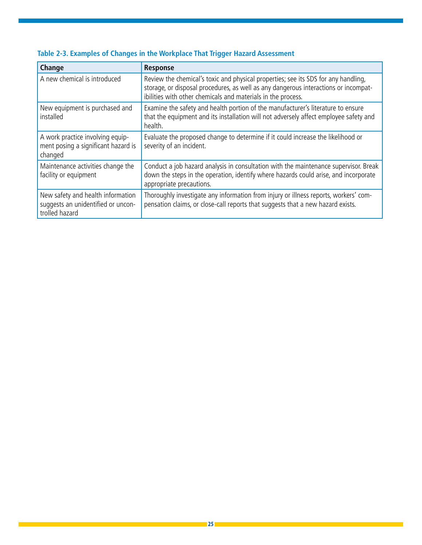| Change                                                                                    | Response                                                                                                                                                                                                                                  |
|-------------------------------------------------------------------------------------------|-------------------------------------------------------------------------------------------------------------------------------------------------------------------------------------------------------------------------------------------|
| A new chemical is introduced                                                              | Review the chemical's toxic and physical properties; see its SDS for any handling,<br>storage, or disposal procedures, as well as any dangerous interactions or incompat-<br>ibilities with other chemicals and materials in the process. |
| New equipment is purchased and<br>installed                                               | Examine the safety and health portion of the manufacturer's literature to ensure<br>that the equipment and its installation will not adversely affect employee safety and<br>health.                                                      |
| A work practice involving equip-<br>ment posing a significant hazard is<br>changed        | Evaluate the proposed change to determine if it could increase the likelihood or<br>severity of an incident.                                                                                                                              |
| Maintenance activities change the<br>facility or equipment                                | Conduct a job hazard analysis in consultation with the maintenance supervisor. Break<br>down the steps in the operation, identify where hazards could arise, and incorporate<br>appropriate precautions.                                  |
| New safety and health information<br>suggests an unidentified or uncon-<br>trolled hazard | Thoroughly investigate any information from injury or illness reports, workers' com-<br>pensation claims, or close-call reports that suggests that a new hazard exists.                                                                   |

### **Table 2-3. Examples of Changes in the Workplace That Trigger Hazard Assessment**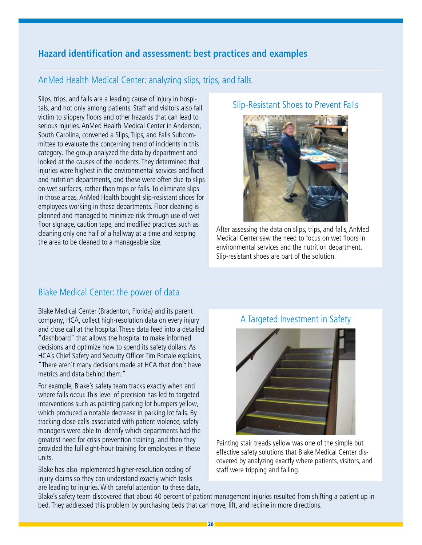### **Hazard identification and assessment: best practices and examples**

### AnMed Health Medical Center: analyzing slips, trips, and falls

Slips, trips, and falls are a leading cause of injury in hospitals, and not only among patients. Staff and visitors also fall victim to slippery floors and other hazards that can lead to serious injuries. AnMed Health Medical Center in Anderson, South Carolina, convened a Slips, Trips, and Falls Subcommittee to evaluate the concerning trend of incidents in this category. The group analyzed the data by department and looked at the causes of the incidents. They determined that injuries were highest in the environmental services and food and nutrition departments, and these were often due to slips on wet surfaces, rather than trips or falls. To eliminate slips in those areas, AnMed Health bought slip-resistant shoes for employees working in these departments. Floor cleaning is planned and managed to minimize risk through use of wet floor signage, caution tape, and modified practices such as cleaning only one half of a hallway at a time and keeping the area to be cleaned to a manageable size.

#### Slip-Resistant Shoes to Prevent Falls



After assessing the data on slips, trips, and falls, AnMed Medical Center saw the need to focus on wet floors in environmental services and the nutrition department. Slip-resistant shoes are part of the solution.

### Blake Medical Center: the power of data

Blake Medical Center (Bradenton, Florida) and its parent company, HCA, collect high-resolution data on every injury and close call at the hospital. These data feed into a detailed "dashboard" that allows the hospital to make informed decisions and optimize how to spend its safety dollars. As HCA's Chief Safety and Security Officer Tim Portale explains, "There aren't many decisions made at HCA that don't have metrics and data behind them."

For example, Blake's safety team tracks exactly when and where falls occur. This level of precision has led to targeted interventions such as painting parking lot bumpers yellow, which produced a notable decrease in parking lot falls. By tracking close calls associated with patient violence, safety managers were able to identify which departments had the greatest need for crisis prevention training, and then they provided the full eight-hour training for employees in these units.

Blake has also implemented higher-resolution coding of injury claims so they can understand exactly which tasks are leading to injuries. With careful attention to these data,

### A Targeted Investment in Safety



Painting stair treads yellow was one of the simple but effective safety solutions that Blake Medical Center discovered by analyzing exactly where patients, visitors, and staff were tripping and falling.

Blake's safety team discovered that about 40 percent of patient management injuries resulted from shifting a patient up in bed. They addressed this problem by purchasing beds that can move, lift, and recline in more directions.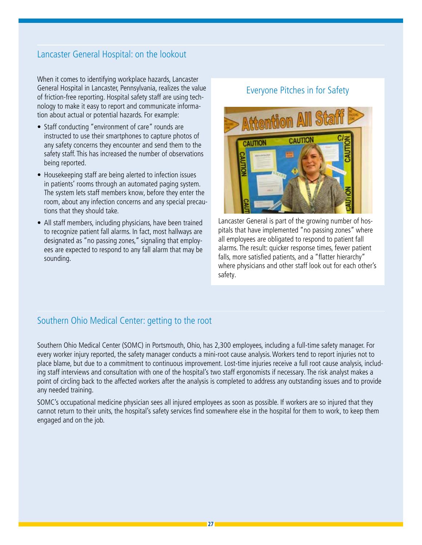### Lancaster General Hospital: on the lookout

When it comes to identifying workplace hazards, Lancaster General Hospital in Lancaster, Pennsylvania, realizes the value of friction-free reporting. Hospital safety staff are using technology to make it easy to report and communicate information about actual or potential hazards. For example:

- Staff conducting "environment of care" rounds are instructed to use their smartphones to capture photos of any safety concerns they encounter and send them to the safety staff. This has increased the number of observations being reported.
- Housekeeping staff are being alerted to infection issues in patients' rooms through an automated paging system. The system lets staff members know, before they enter the room, about any infection concerns and any special precautions that they should take.
- All staff members, including physicians, have been trained to recognize patient fall alarms. In fact, most hallways are designated as "no passing zones," signaling that employees are expected to respond to any fall alarm that may be sounding.

#### Everyone Pitches in for Safety



Lancaster General is part of the growing number of hospitals that have implemented "no passing zones" where all employees are obligated to respond to patient fall alarms. The result: quicker response times, fewer patient falls, more satisfied patients, and a "flatter hierarchy" where physicians and other staff look out for each other's safety.

### Southern Ohio Medical Center: getting to the root

Southern Ohio Medical Center (SOMC) in Portsmouth, Ohio, has 2,300 employees, including a full-time safety manager. For every worker injury reported, the safety manager conducts a mini-root cause analysis. Workers tend to report injuries not to place blame, but due to a commitment to continuous improvement. Lost-time injuries receive a full root cause analysis, including staff interviews and consultation with one of the hospital's two staff ergonomists if necessary. The risk analyst makes a point of circling back to the affected workers after the analysis is completed to address any outstanding issues and to provide any needed training.

SOMC's occupational medicine physician sees all injured employees as soon as possible. If workers are so injured that they cannot return to their units, the hospital's safety services find somewhere else in the hospital for them to work, to keep them engaged and on the job.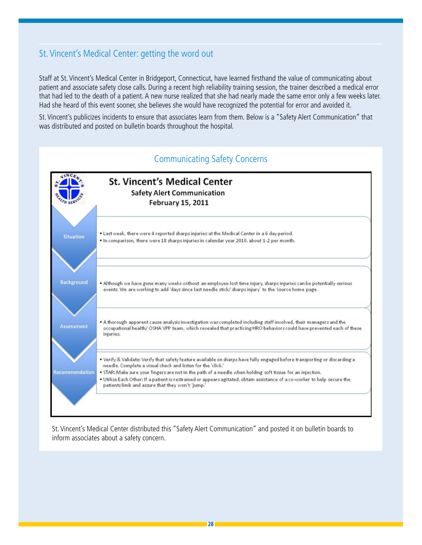### St. Vincent's Medical Center: getting the word out

Staff at St. Vincent's Medical Center in Bridgeport, Connecticut, have learned firsthand the value of communicating about patient and associate safety close calls. During a recent high reliability training session, the trainer described a medical error that had led to the death of a patient. A new nurse realized that she had nearly made the same error only a few weeks later. Had she heard of this event sooner, she believes she would have recognized the potential for error and avoided it.

St. Vincent's publicizes incidents to ensure that associates learn from them. Below is a "Safety Alert Communication" that was distributed and posted on bulletin boards throughout the hospital.



St. Vincent's Medical Center distributed this "Safety Alert Communication" and posted it on bulletin boards to inform associates about a safety concern.

### Communicating Safety Concerns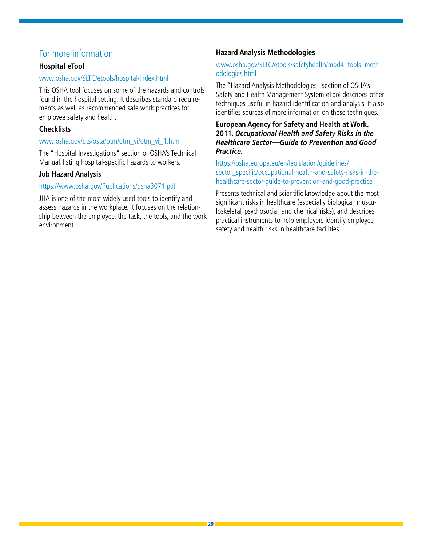### For more information

#### **Hospital eTool**

#### www.osha.gov/SLTC/etools/hospital/index.html

This OSHA tool focuses on some of the hazards and controls found in the hospital setting. It describes standard requirements as well as recommended safe work practices for employee safety and health.

#### **Checklists**

#### www.osha.gov/dts/osta/otm/otm\_vi/otm\_vi\_1.html

The "Hospital Investigations" section of OSHA's Technical Manual, listing hospital-specific hazards to workers.

#### **Job Hazard Analysis**

#### https://www.osha.gov/Publications/osha3071.pdf

JHA is one of the most widely used tools to identify and assess hazards in the workplace. It focuses on the relationship between the employee, the task, the tools, and the work environment.

#### **Hazard Analysis Methodologies**

#### [www.osha.gov/SLTC/etools/safetyhealth/mod4\\_tools\\_meth](www.osha.gov/SLTC/etools/safetyhealth/mod4_tools_methodologies.html)[odologies.html](www.osha.gov/SLTC/etools/safetyhealth/mod4_tools_methodologies.html)

The "Hazard Analysis Methodologies" section of OSHA's Safety and Health Management System eTool describes other techniques useful in hazard identification and analysis. It also identifies sources of more information on these techniques.

#### **European Agency for Safety and Health at Work. 2011. Occupational Health and Safety Risks in the Healthcare Sector—Guide to Prevention and Good Practice.**

[https://osha.europa.eu/en/legislation/guidelines/](https://osha.europa.eu/en/legislation/guidelines/sector_specific/occupational-health-and-safety-risks-in-the-healthcare-sector-guide-to-prevention-and-good-practice
) [sector\\_specific/occupational-health-and-safety-risks-in-the](https://osha.europa.eu/en/legislation/guidelines/sector_specific/occupational-health-and-safety-risks-in-the-healthcare-sector-guide-to-prevention-and-good-practice
)[healthcare-sector-guide-to-prevention-and-good-practice](https://osha.europa.eu/en/legislation/guidelines/sector_specific/occupational-health-and-safety-risks-in-the-healthcare-sector-guide-to-prevention-and-good-practice
)

Presents technical and scientific knowledge about the most significant risks in healthcare (especially biological, musculoskeletal, psychosocial, and chemical risks), and describes practical instruments to help employers identify employee safety and health risks in healthcare facilities.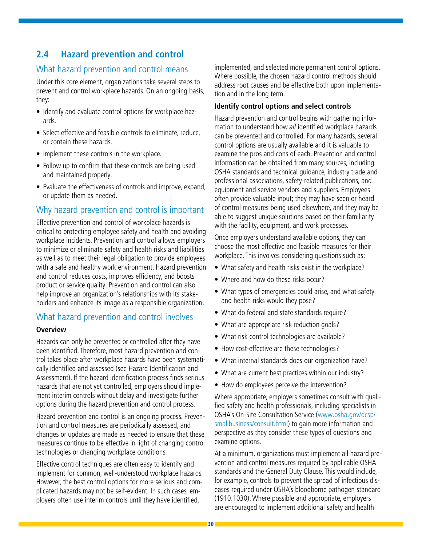### **2.4 Hazard prevention and control**

### What hazard prevention and control means

Under this core element, organizations take several steps to prevent and control workplace hazards. On an ongoing basis, they:

- Identify and evaluate control options for workplace hazards.
- Select effective and feasible controls to eliminate, reduce, or contain these hazards.
- Implement these controls in the workplace.
- Follow up to confirm that these controls are being used and maintained properly.
- Evaluate the effectiveness of controls and improve, expand, or update them as needed.

### Why hazard prevention and control is important

Effective prevention and control of workplace hazards is critical to protecting employee safety and health and avoiding workplace incidents. Prevention and control allows employers to minimize or eliminate safety and health risks and liabilities as well as to meet their legal obligation to provide employees with a safe and healthy work environment. Hazard prevention and control reduces costs, improves efficiency, and boosts product or service quality. Prevention and control can also help improve an organization's relationships with its stakeholders and enhance its image as a responsible organization.

#### What hazard prevention and control involves

#### **Overview**

Hazards can only be prevented or controlled after they have been identified. Therefore, most hazard prevention and control takes place after workplace hazards have been systematically identified and assessed (see Hazard Identification and Assessment). If the hazard identification process finds serious hazards that are not yet controlled, employers should implement interim controls without delay and investigate further options during the hazard prevention and control process.

Hazard prevention and control is an ongoing process. Prevention and control measures are periodically assessed, and changes or updates are made as needed to ensure that these measures continue to be effective in light of changing control technologies or changing workplace conditions.

Effective control techniques are often easy to identify and implement for common, well-understood workplace hazards. However, the best control options for more serious and complicated hazards may not be self-evident. In such cases, employers often use interim controls until they have identified,

implemented, and selected more permanent control options. Where possible, the chosen hazard control methods should address root causes and be effective both upon implementation and in the long term.

#### **Identify control options and select controls**

Hazard prevention and control begins with gathering information to understand how *all* identified workplace hazards can be prevented and controlled. For many hazards, several control options are usually available and it is valuable to examine the pros and cons of each. Prevention and control information can be obtained from many sources, including OSHA standards and technical guidance, industry trade and professional associations, safety-related publications, and equipment and service vendors and suppliers. Employees often provide valuable input; they may have seen or heard of control measures being used elsewhere, and they may be able to suggest unique solutions based on their familiarity with the facility, equipment, and work processes.

Once employers understand available options, they can choose the most effective and feasible measures for their workplace. This involves considering questions such as:

- What safety and health risks exist in the workplace?
- Where and how do these risks occur?
- What types of emergencies could arise, and what safety and health risks would they pose?
- What do federal and state standards require?
- What are appropriate risk reduction goals?
- What risk control technologies are available?
- How cost-effective are these technologies?
- What internal standards does our organization have?
- What are current best practices within our industry?
- How do employees perceive the intervention?

Where appropriate, employers sometimes consult with qualified safety and health professionals, including specialists in OSHA's On-Site Consultation Service [\(www.osha.gov/dcsp/](www.osha.gov/dcsp/smallbusiness/consult.html) [smallbusiness/consult.html\)](www.osha.gov/dcsp/smallbusiness/consult.html) to gain more information and perspective as they consider these types of questions and examine options.

At a minimum, organizations must implement all hazard prevention and control measures required by applicable OSHA standards and the General Duty Clause. This would include, for example, controls to prevent the spread of infectious diseases required under OSHA's bloodborne pathogen standard (1910.1030). Where possible and appropriate, employers are encouraged to implement additional safety and health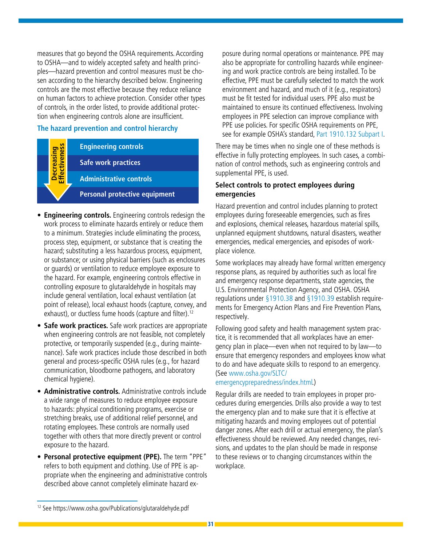measures that go beyond the OSHA requirements. According to OSHA—and to widely accepted safety and health principles—hazard prevention and control measures must be chosen according to the hierarchy described below. Engineering controls are the most effective because they reduce reliance on human factors to achieve protection. Consider other types of controls, in the order listed, to provide additional protection when engineering controls alone are insufficient.

•

#### **The hazard prevention and control hierarchy**

**Engineering controls Safe work practices Administrative controls Personal protective equipment Decreasing**<br>Effectiveness **Effectiveness**

- **Engineering controls.** Engineering controls redesign the work process to eliminate hazards entirely or reduce them to a minimum. Strategies include eliminating the process, process step, equipment, or substance that is creating the hazard; substituting a less hazardous process, equipment, or substance; or using physical barriers (such as enclosures or guards) or ventilation to reduce employee exposure to the hazard. For example, engineering controls effective in controlling exposure to glutaraldehyde in hospitals may include general ventilation, local exhaust ventilation (at point of release), local exhaust hoods (capture, convey, and exhaust), or ductless fume hoods (capture and filter).<sup>12</sup>
- **Safe work practices.** Safe work practices are appropriate when engineering controls are not feasible, not completely protective, or temporarily suspended (e.g., during maintenance). Safe work practices include those described in both general and process-specific OSHA rules (e.g., for hazard communication, bloodborne pathogens, and laboratory chemical hygiene).
- **Administrative controls.** Administrative controls include a wide range of measures to reduce employee exposure to hazards: physical conditioning programs, exercise or stretching breaks, use of additional relief personnel, and rotating employees. These controls are normally used together with others that more directly prevent or control exposure to the hazard.
- **Personal protective equipment (PPE).** The term "PPE" refers to both equipment and clothing. Use of PPE is appropriate when the engineering and administrative controls described above cannot completely eliminate hazard ex-

posure during normal operations or maintenance. PPE may also be appropriate for controlling hazards while engineering and work practice controls are being installed. To be effective, PPE must be carefully selected to match the work environment and hazard, and much of it (e.g., respirators) must be fit tested for individual users. PPE also must be maintained to ensure its continued effectiveness. Involving employees in PPE selection can improve compliance with PPE use policies. For specific OSHA requirements on PPE, see for example OSHA's standard, [Part 1910.132 Subpart I](http://www.osha.gov/pls/oshaweb/owastand.display_standard_group?p_toc_level=1&p_part_number=1910#1910_Subpart_I).

There may be times when no single one of these methods is effective in fully protecting employees. In such cases, a combination of control methods, such as engineering controls and supplemental PPE, is used.

#### **Select controls to protect employees during emergencies**

Hazard prevention and control includes planning to protect employees during foreseeable emergencies, such as fires and explosions, chemical releases, hazardous material spills, unplanned equipment shutdowns, natural disasters, weather emergencies, medical emergencies, and episodes of workplace violence.

Some workplaces may already have formal written emergency response plans, as required by authorities such as local fire and emergency response departments, state agencies, the U.S. Environmental Protection Agency, and OSHA. OSHA regulations under [§1910.38](http://www.osha.gov/pls/oshaweb/owadisp.show_document?p_table=STANDARDS&p_id=9726) and [§1910.39](http://www.osha.gov/pls/oshaweb/owadisp.show_document?p_table=STANDARDS&p_id=12887) establish requirements for Emergency Action Plans and Fire Prevention Plans, respectively.

Following good safety and health management system practice, it is recommended that all workplaces have an emergency plan in place—even when not required to by law—to ensure that emergency responders and employees know what to do and have adequate skills to respond to an emergency. (See [www.osha.gov/SLTC/](www.osha.gov/SLTC/
emergencypreparedness/index.html)

#### [emergencypreparedness/index.html.](www.osha.gov/SLTC/
emergencypreparedness/index.html))

Regular drills are needed to train employees in proper procedures during emergencies. Drills also provide a way to test the emergency plan and to make sure that it is effective at mitigating hazards and moving employees out of potential danger zones. After each drill or actual emergency, the plan's effectiveness should be reviewed. Any needed changes, revisions, and updates to the plan should be made in response to these reviews or to changing circumstances within the workplace.

<sup>12</sup> See https://www.osha.gov/Publications/glutaraldehyde.pdf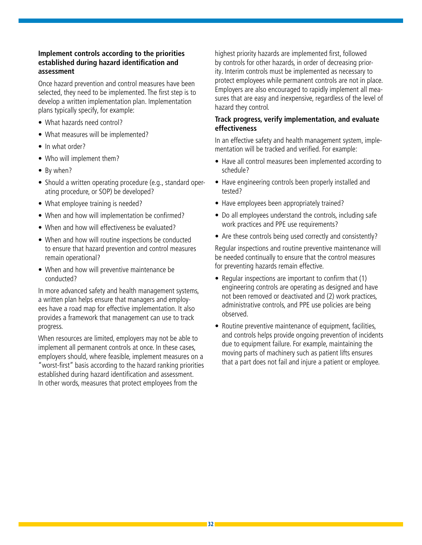#### **Implement controls according to the priorities established during hazard identification and assessment**

Once hazard prevention and control measures have been selected, they need to be implemented. The first step is to develop a written implementation plan. Implementation plans typically specify, for example:

- What hazards need control?
- What measures will be implemented?
- In what order?
- Who will implement them?
- By when?
- Should a written operating procedure (e.g., standard operating procedure, or SOP) be developed?
- What employee training is needed?
- When and how will implementation be confirmed?
- When and how will effectiveness be evaluated?
- When and how will routine inspections be conducted to ensure that hazard prevention and control measures remain operational?
- When and how will preventive maintenance be conducted?

In more advanced safety and health management systems, a written plan helps ensure that managers and employees have a road map for effective implementation. It also provides a framework that management can use to track progress.

When resources are limited, employers may not be able to implement all permanent controls at once. In these cases, employers should, where feasible, implement measures on a "worst-first" basis according to the hazard ranking priorities established during hazard identification and assessment. In other words, measures that protect employees from the

highest priority hazards are implemented first, followed by controls for other hazards, in order of decreasing priority. Interim controls must be implemented as necessary to protect employees while permanent controls are not in place. Employers are also encouraged to rapidly implement all measures that are easy and inexpensive, regardless of the level of hazard they control.

#### **Track progress, verify implementation, and evaluate effectiveness**

In an effective safety and health management system, implementation will be tracked and verified. For example:

- Have all control measures been implemented according to schedule?
- Have engineering controls been properly installed and tested?
- Have employees been appropriately trained?
- Do all employees understand the controls, including safe work practices and PPE use requirements?
- Are these controls being used correctly and consistently?

Regular inspections and routine preventive maintenance will be needed continually to ensure that the control measures for preventing hazards remain effective.

- Regular inspections are important to confirm that (1) engineering controls are operating as designed and have not been removed or deactivated and (2) work practices, administrative controls, and PPE use policies are being observed.
- Routine preventive maintenance of equipment, facilities, and controls helps provide ongoing prevention of incidents due to equipment failure. For example, maintaining the moving parts of machinery such as patient lifts ensures that a part does not fail and injure a patient or employee.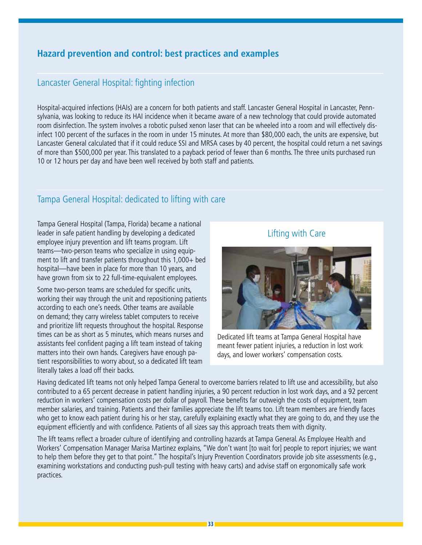### **Hazard prevention and control: best practices and examples**

### Lancaster General Hospital: fighting infection

Hospital-acquired infections (HAIs) are a concern for both patients and staff. Lancaster General Hospital in Lancaster, Pennsylvania, was looking to reduce its HAI incidence when it became aware of a new technology that could provide automated room disinfection. The system involves a robotic pulsed xenon laser that can be wheeled into a room and will effectively disinfect 100 percent of the surfaces in the room in under 15 minutes. At more than \$80,000 each, the units are expensive, but Lancaster General calculated that if it could reduce SSI and MRSA cases by 40 percent, the hospital could return a net savings of more than \$500,000 per year. This translated to a payback period of fewer than 6 months. The three units purchased run 10 or 12 hours per day and have been well received by both staff and patients.

### Tampa General Hospital: dedicated to lifting with care

Tampa General Hospital (Tampa, Florida) became a national leader in safe patient handling by developing a dedicated employee injury prevention and lift teams program. Lift teams—two-person teams who specialize in using equipment to lift and transfer patients throughout this 1,000+ bed hospital—have been in place for more than 10 years, and have grown from six to 22 full-time-equivalent employees.

Some two-person teams are scheduled for specific units, working their way through the unit and repositioning patients according to each one's needs. Other teams are available on demand; they carry wireless tablet computers to receive and prioritize lift requests throughout the hospital. Response times can be as short as 5 minutes, which means nurses and assistants feel confident paging a lift team instead of taking matters into their own hands. Caregivers have enough patient responsibilities to worry about, so a dedicated lift team literally takes a load off their backs.

### Lifting with Care



Dedicated lift teams at Tampa General Hospital have meant fewer patient injuries, a reduction in lost work days, and lower workers' compensation costs.

Having dedicated lift teams not only helped Tampa General to overcome barriers related to lift use and accessibility, but also contributed to a 65 percent decrease in patient handling injuries, a 90 percent reduction in lost work days, and a 92 percent reduction in workers' compensation costs per dollar of payroll. These benefits far outweigh the costs of equipment, team member salaries, and training. Patients and their families appreciate the lift teams too. Lift team members are friendly faces who get to know each patient during his or her stay, carefully explaining exactly what they are going to do, and they use the equipment efficiently and with confidence. Patients of all sizes say this approach treats them with dignity.

The lift teams reflect a broader culture of identifying and controlling hazards at Tampa General. As Employee Health and Workers' Compensation Manager Marisa Martinez explains, "We don't want [to wait for] people to report injuries; we want to help them before they get to that point." The hospital's Injury Prevention Coordinators provide job site assessments (e.g., examining workstations and conducting push-pull testing with heavy carts) and advise staff on ergonomically safe work practices.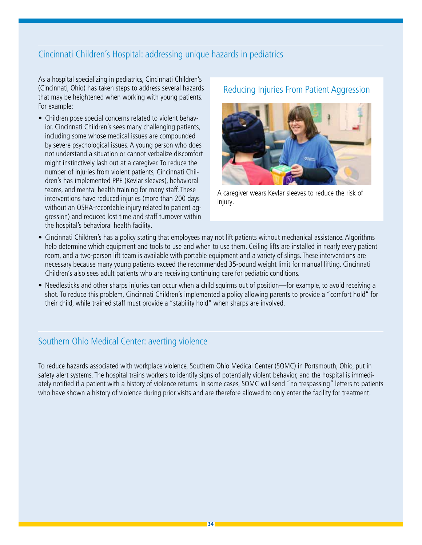### Cincinnati Children's Hospital: addressing unique hazards in pediatrics

As a hospital specializing in pediatrics, Cincinnati Children's (Cincinnati, Ohio) has taken steps to address several hazards that may be heightened when working with young patients. For example:

• Children pose special concerns related to violent behavior. Cincinnati Children's sees many challenging patients, including some whose medical issues are compounded by severe psychological issues. A young person who does not understand a situation or cannot verbalize discomfort might instinctively lash out at a caregiver. To reduce the number of injuries from violent patients, Cincinnati Children's has implemented PPE (Kevlar sleeves), behavioral teams, and mental health training for many staff. These interventions have reduced injuries (more than 200 days without an OSHA-recordable injury related to patient aggression) and reduced lost time and staff turnover within the hospital's behavioral health facility.

### Reducing Injuries From Patient Aggression



A caregiver wears Kevlar sleeves to reduce the risk of injury.

- Cincinnati Children's has a policy stating that employees may not lift patients without mechanical assistance. Algorithms help determine which equipment and tools to use and when to use them. Ceiling lifts are installed in nearly every patient room, and a two-person lift team is available with portable equipment and a variety of slings. These interventions are necessary because many young patients exceed the recommended 35-pound weight limit for manual lifting. Cincinnati Children's also sees adult patients who are receiving continuing care for pediatric conditions.
- Needlesticks and other sharps injuries can occur when a child squirms out of position—for example, to avoid receiving a shot. To reduce this problem, Cincinnati Children's implemented a policy allowing parents to provide a "comfort hold" for their child, while trained staff must provide a "stability hold" when sharps are involved.

#### Southern Ohio Medical Center: averting violence

To reduce hazards associated with workplace violence, Southern Ohio Medical Center (SOMC) in Portsmouth, Ohio, put in safety alert systems. The hospital trains workers to identify signs of potentially violent behavior, and the hospital is immediately notified if a patient with a history of violence returns. In some cases, SOMC will send "no trespassing" letters to patients who have shown a history of violence during prior visits and are therefore allowed to only enter the facility for treatment.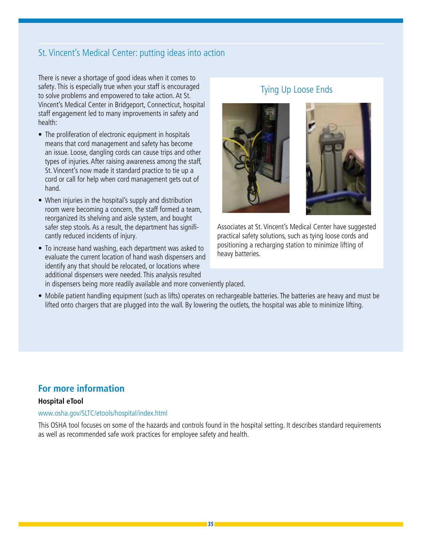### St. Vincent's Medical Center: putting ideas into action

There is never a shortage of good ideas when it comes to safety. This is especially true when your staff is encouraged to solve problems and empowered to take action. At St. Vincent's Medical Center in Bridgeport, Connecticut, hospital staff engagement led to many improvements in safety and health:

- The proliferation of electronic equipment in hospitals means that cord management and safety has become an issue. Loose, dangling cords can cause trips and other types of injuries. After raising awareness among the staff, St. Vincent's now made it standard practice to tie up a cord or call for help when cord management gets out of hand.
- When injuries in the hospital's supply and distribution room were becoming a concern, the staff formed a team, reorganized its shelving and aisle system, and bought safer step stools. As a result, the department has significantly reduced incidents of injury.
- To increase hand washing, each department was asked to evaluate the current location of hand wash dispensers and identify any that should be relocated, or locations where additional dispensers were needed. This analysis resulted

### Tying Up Loose Ends



Associates at St. Vincent's Medical Center have suggested practical safety solutions, such as tying loose cords and positioning a recharging station to minimize lifting of heavy batteries.

- in dispensers being more readily available and more conveniently placed.
- Mobile patient handling equipment (such as lifts) operates on rechargeable batteries. The batteries are heavy and must be lifted onto chargers that are plugged into the wall. By lowering the outlets, the hospital was able to minimize lifting.

### **For more information**

#### **Hospital eTool**

#### www.osha.gov/SLTC/etools/hospital/index.html

This OSHA tool focuses on some of the hazards and controls found in the hospital setting. It describes standard requirements as well as recommended safe work practices for employee safety and health.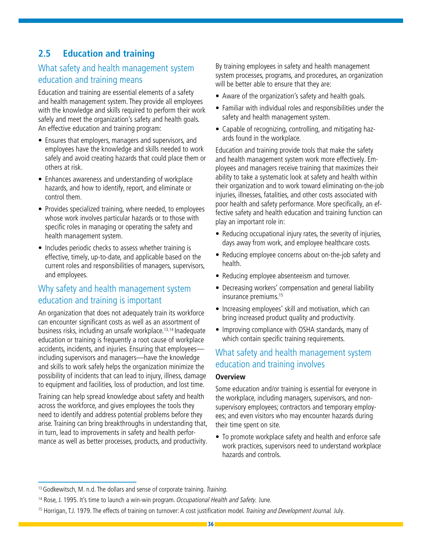### **2.5 Education and training**

### What safety and health management system education and training means

Education and training are essential elements of a safety and health management system. They provide all employees with the knowledge and skills required to perform their work safely and meet the organization's safety and health goals. An effective education and training program:

- Ensures that employers, managers and supervisors, and employees have the knowledge and skills needed to work safely and avoid creating hazards that could place them or others at risk.
- Enhances awareness and understanding of workplace hazards, and how to identify, report, and eliminate or control them.
- Provides specialized training, where needed, to employees whose work involves particular hazards or to those with specific roles in managing or operating the safety and health management system.
- Includes periodic checks to assess whether training is effective, timely, up-to-date, and applicable based on the current roles and responsibilities of managers, supervisors, and employees.

### Why safety and health management system education and training is important

An organization that does not adequately train its workforce can encounter significant costs as well as an assortment of business risks, including an unsafe workplace.13,14 Inadequate education or training is frequently a root cause of workplace accidents, incidents, and injuries. Ensuring that employees including supervisors and managers—have the knowledge and skills to work safely helps the organization minimize the possibility of incidents that can lead to injury, illness, damage to equipment and facilities, loss of production, and lost time.

Training can help spread knowledge about safety and health across the workforce, and gives employees the tools they need to identify and address potential problems before they arise. Training can bring breakthroughs in understanding that, in turn, lead to improvements in safety and health performance as well as better processes, products, and productivity.

By training employees in safety and health management system processes, programs, and procedures, an organization will be better able to ensure that they are:

- Aware of the organization's safety and health goals.
- Familiar with individual roles and responsibilities under the safety and health management system.
- Capable of recognizing, controlling, and mitigating hazards found in the workplace.

Education and training provide tools that make the safety and health management system work more effectively. Employees and managers receive training that maximizes their ability to take a systematic look at safety and health within their organization and to work toward eliminating on-the-job injuries, illnesses, fatalities, and other costs associated with poor health and safety performance. More specifically, an effective safety and health education and training function can play an important role in:

- Reducing occupational injury rates, the severity of injuries, days away from work, and employee healthcare costs.
- Reducing employee concerns about on-the-job safety and health.
- Reducing employee absenteeism and turnover.
- Decreasing workers' compensation and general liability insurance premiums.15
- Increasing employees' skill and motivation, which can bring increased product quality and productivity.
- Improving compliance with OSHA standards, many of which contain specific training requirements.

### What safety and health management system education and training involves

#### **Overview**

Some education and/or training is essential for everyone in the workplace, including managers, supervisors, and nonsupervisory employees; contractors and temporary employees; and even visitors who may encounter hazards during their time spent on site.

• To promote workplace safety and health and enforce safe work practices, supervisors need to understand workplace hazards and controls.

<sup>&</sup>lt;sup>13</sup> Godkewitsch, M. n.d. The dollars and sense of corporate training. Training.

<sup>&</sup>lt;sup>14</sup> Rose, J. 1995. It's time to launch a win-win program. Occupational Health and Safety. June.

<sup>&</sup>lt;sup>15</sup> Horrigan, T.J. 1979. The effects of training on turnover: A cost justification model. Training and Development Journal. July.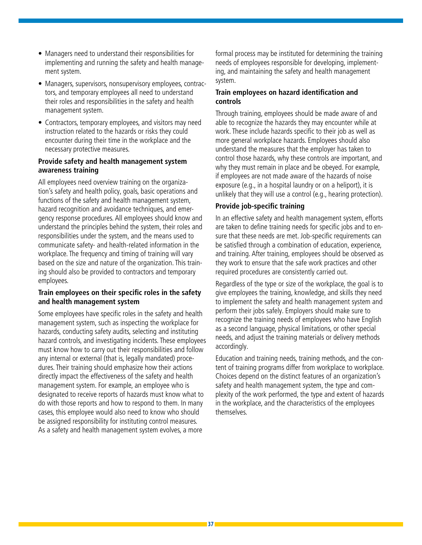- Managers need to understand their responsibilities for implementing and running the safety and health management system.
- Managers, supervisors, nonsupervisory employees, contractors, and temporary employees all need to understand their roles and responsibilities in the safety and health management system.
- Contractors, temporary employees, and visitors may need instruction related to the hazards or risks they could encounter during their time in the workplace and the necessary protective measures.

#### **Provide safety and health management system awareness training**

All employees need overview training on the organization's safety and health policy, goals, basic operations and functions of the safety and health management system, hazard recognition and avoidance techniques, and emergency response procedures. All employees should know and understand the principles behind the system, their roles and responsibilities under the system, and the means used to communicate safety- and health-related information in the workplace. The frequency and timing of training will vary based on the size and nature of the organization. This training should also be provided to contractors and temporary employees.

#### **Train employees on their specific roles in the safety and health management system**

Some employees have specific roles in the safety and health management system, such as inspecting the workplace for hazards, conducting safety audits, selecting and instituting hazard controls, and investigating incidents. These employees must know how to carry out their responsibilities and follow any internal or external (that is, legally mandated) procedures. Their training should emphasize how their actions directly impact the effectiveness of the safety and health management system. For example, an employee who is designated to receive reports of hazards must know what to do with those reports and how to respond to them. In many cases, this employee would also need to know who should be assigned responsibility for instituting control measures. As a safety and health management system evolves, a more

formal process may be instituted for determining the training needs of employees responsible for developing, implementing, and maintaining the safety and health management system.

#### **Train employees on hazard identification and controls**

Through training, employees should be made aware of and able to recognize the hazards they may encounter while at work. These include hazards specific to their job as well as more general workplace hazards. Employees should also understand the measures that the employer has taken to control those hazards, why these controls are important, and why they must remain in place and be obeyed. For example, if employees are not made aware of the hazards of noise exposure (e.g., in a hospital laundry or on a heliport), it is unlikely that they will use a control (e.g., hearing protection).

#### **Provide job-specific training**

In an effective safety and health management system, efforts are taken to define training needs for specific jobs and to ensure that these needs are met. Job-specific requirements can be satisfied through a combination of education, experience, and training. After training, employees should be observed as they work to ensure that the safe work practices and other required procedures are consistently carried out.

Regardless of the type or size of the workplace, the goal is to give employees the training, knowledge, and skills they need to implement the safety and health management system and perform their jobs safely. Employers should make sure to recognize the training needs of employees who have English as a second language, physical limitations, or other special needs, and adjust the training materials or delivery methods accordingly.

Education and training needs, training methods, and the content of training programs differ from workplace to workplace. Choices depend on the distinct features of an organization's safety and health management system, the type and complexity of the work performed, the type and extent of hazards in the workplace, and the characteristics of the employees themselves.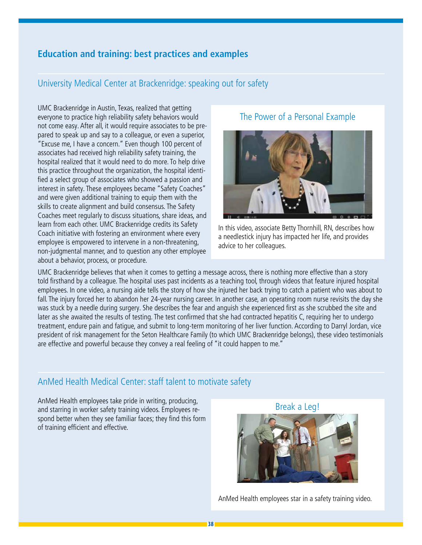### **Education and training: best practices and examples**

#### University Medical Center at Brackenridge: speaking out for safety

UMC Brackenridge in Austin, Texas, realized that getting everyone to practice high reliability safety behaviors would not come easy. After all, it would require associates to be prepared to speak up and say to a colleague, or even a superior, "Excuse me, I have a concern." Even though 100 percent of associates had received high reliability safety training, the hospital realized that it would need to do more. To help drive this practice throughout the organization, the hospital identified a select group of associates who showed a passion and interest in safety. These employees became "Safety Coaches" and were given additional training to equip them with the skills to create alignment and build consensus. The Safety Coaches meet regularly to discuss situations, share ideas, and learn from each other. UMC Brackenridge credits its Safety Coach initiative with fostering an environment where every employee is empowered to intervene in a non-threatening, non-judgmental manner, and to question any other employee about a behavior, process, or procedure.

#### The Power of a Personal Example



In this video, associate Betty Thornhill, RN, describes how a needlestick injury has impacted her life, and provides advice to her colleagues.

UMC Brackenridge believes that when it comes to getting a message across, there is nothing more effective than a story told firsthand by a colleague. The hospital uses past incidents as a teaching tool, through videos that feature injured hospital employees. In one video, a nursing aide tells the story of how she injured her back trying to catch a patient who was about to fall. The injury forced her to abandon her 24-year nursing career. In another case, an operating room nurse revisits the day she was stuck by a needle during surgery. She describes the fear and anguish she experienced first as she scrubbed the site and later as she awaited the results of testing. The test confirmed that she had contracted hepatitis C, requiring her to undergo treatment, endure pain and fatigue, and submit to long-term monitoring of her liver function. According to Darryl Jordan, vice president of risk management for the Seton Healthcare Family (to which UMC Brackenridge belongs), these video testimonials are effective and powerful because they convey a real feeling of "it could happen to me."

#### AnMed Health Medical Center: staff talent to motivate safety

AnMed Health employees take pride in writing, producing, and starring in worker safety training videos. Employees respond better when they see familiar faces; they find this form of training efficient and effective.

Break a Leg!



AnMed Health employees star in a safety training video.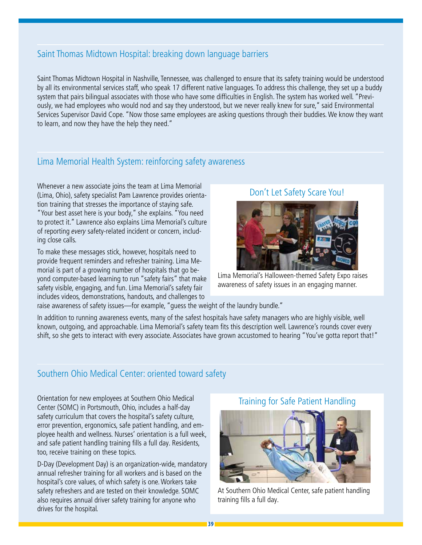### Saint Thomas Midtown Hospital: breaking down language barriers

Saint Thomas Midtown Hospital in Nashville, Tennessee, was challenged to ensure that its safety training would be understood by all its environmental services staff, who speak 17 different native languages. To address this challenge, they set up a buddy system that pairs bilingual associates with those who have some difficulties in English. The system has worked well. "Previously, we had employees who would nod and say they understood, but we never really knew for sure," said Environmental Services Supervisor David Cope. "Now those same employees are asking questions through their buddies. We know they want to learn, and now they have the help they need."

### Lima Memorial Health System: reinforcing safety awareness

Whenever a new associate joins the team at Lima Memorial (Lima, Ohio), safety specialist Pam Lawrence provides orientation training that stresses the importance of staying safe. "Your best asset here is your body," she explains. "You need to protect it." Lawrence also explains Lima Memorial's culture of reporting every safety-related incident or concern, including close calls.

To make these messages stick, however, hospitals need to provide frequent reminders and refresher training. Lima Memorial is part of a growing number of hospitals that go beyond computer-based learning to run "safety fairs" that make safety visible, engaging, and fun. Lima Memorial's safety fair includes videos, demonstrations, handouts, and challenges to

### Don't Let Safety Scare You!



Lima Memorial's Halloween-themed Safety Expo raises awareness of safety issues in an engaging manner.

raise awareness of safety issues—for example, "guess the weight of the laundry bundle."

In addition to running awareness events, many of the safest hospitals have safety managers who are highly visible, well known, outgoing, and approachable. Lima Memorial's safety team fits this description well. Lawrence's rounds cover every shift, so she gets to interact with every associate. Associates have grown accustomed to hearing "You've gotta report that!"

### Southern Ohio Medical Center: oriented toward safety

Orientation for new employees at Southern Ohio Medical Center (SOMC) in Portsmouth, Ohio, includes a half-day safety curriculum that covers the hospital's safety culture, error prevention, ergonomics, safe patient handling, and employee health and wellness. Nurses' orientation is a full week, and safe patient handling training fills a full day. Residents, too, receive training on these topics.

D-Day (Development Day) is an organization-wide, mandatory annual refresher training for all workers and is based on the hospital's core values, of which safety is one. Workers take safety refreshers and are tested on their knowledge. SOMC also requires annual driver safety training for anyone who drives for the hospital.

#### Training for Safe Patient Handling



At Southern Ohio Medical Center, safe patient handling training fills a full day.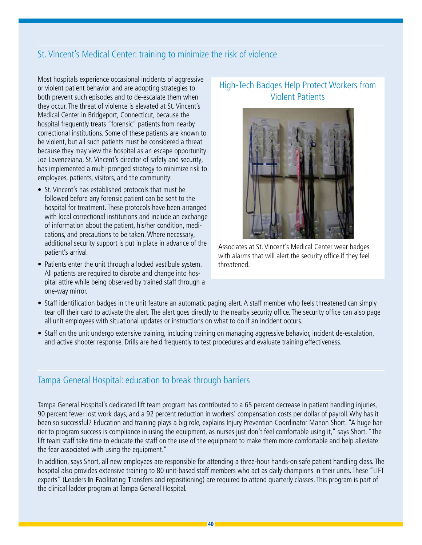### St. Vincent's Medical Center: training to minimize the risk of violence

Most hospitals experience occasional incidents of aggressive or violent patient behavior and are adopting strategies to both prevent such episodes and to de-escalate them when they occur. The threat of violence is elevated at St. Vincent's Medical Center in Bridgeport, Connecticut, because the hospital frequently treats "forensic" patients from nearby correctional institutions. Some of these patients are known to be violent, but all such patients must be considered a threat because they may view the hospital as an escape opportunity. Joe Laveneziana, St. Vincent's director of safety and security, has implemented a multi-pronged strategy to minimize risk to employees, patients, visitors, and the community:

- St. Vincent's has established protocols that must be followed before any forensic patient can be sent to the hospital for treatment. These protocols have been arranged with local correctional institutions and include an exchange of information about the patient, his/her condition, medications, and precautions to be taken. Where necessary, additional security support is put in place in advance of the patient's arrival.
- Patients enter the unit through a locked vestibule system. All patients are required to disrobe and change into hospital attire while being observed by trained staff through a one-way mirror.

### High-Tech Badges Help Protect Workers from Violent Patients



Associates at St. Vincent's Medical Center wear badges with alarms that will alert the security office if they feel threatened.

- Staff identification badges in the unit feature an automatic paging alert. A staff member who feels threatened can simply tear off their card to activate the alert. The alert goes directly to the nearby security office. The security office can also page all unit employees with situational updates or instructions on what to do if an incident occurs.
- Staff on the unit undergo extensive training, including training on managing aggressive behavior, incident de-escalation, and active shooter response. Drills are held frequently to test procedures and evaluate training effectiveness.

### Tampa General Hospital: education to break through barriers

Tampa General Hospital's dedicated lift team program has contributed to a 65 percent decrease in patient handling injuries, 90 percent fewer lost work days, and a 92 percent reduction in workers' compensation costs per dollar of payroll. Why has it been so successful? Education and training plays a big role, explains Injury Prevention Coordinator Manon Short. "A huge barrier to program success is compliance in using the equipment, as nurses just don't feel comfortable using it," says Short. "The lift team staff take time to educate the staff on the use of the equipment to make them more comfortable and help alleviate the fear associated with using the equipment."

In addition, says Short, all new employees are responsible for attending a three-hour hands-on safe patient handling class. The hospital also provides extensive training to 80 unit-based staff members who act as daily champions in their units. These "LIFT experts" (**L**eaders **I**n **F**acilitating **T**ransfers and repositioning) are required to attend quarterly classes. This program is part of the clinical ladder program at Tampa General Hospital.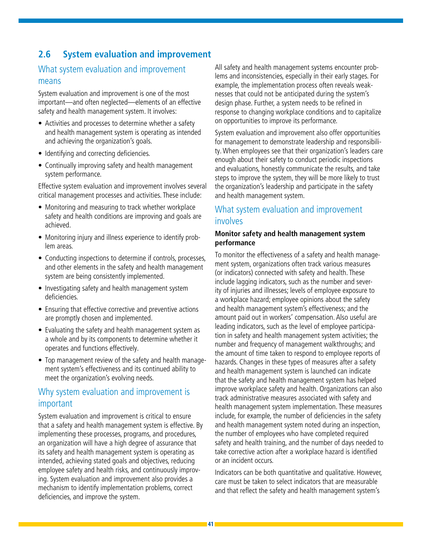### **2.6 System evaluation and improvement**

### What system evaluation and improvement means

System evaluation and improvement is one of the most important—and often neglected—elements of an effective safety and health management system. It involves:

- Activities and processes to determine whether a safety and health management system is operating as intended and achieving the organization's goals.
- Identifying and correcting deficiencies.
- Continually improving safety and health management system performance.

Effective system evaluation and improvement involves several critical management processes and activities. These include:

- Monitoring and measuring to track whether workplace safety and health conditions are improving and goals are achieved.
- Monitoring injury and illness experience to identify problem areas.
- Conducting inspections to determine if controls, processes, and other elements in the safety and health management system are being consistently implemented.
- Investigating safety and health management system deficiencies.
- Ensuring that effective corrective and preventive actions are promptly chosen and implemented.
- Evaluating the safety and health management system as a whole and by its components to determine whether it operates and functions effectively.
- Top management review of the safety and health management system's effectiveness and its continued ability to meet the organization's evolving needs.

### Why system evaluation and improvement is important

System evaluation and improvement is critical to ensure that a safety and health management system is effective. By implementing these processes, programs, and procedures, an organization will have a high degree of assurance that its safety and health management system is operating as intended, achieving stated goals and objectives, reducing employee safety and health risks, and continuously improving. System evaluation and improvement also provides a mechanism to identify implementation problems, correct deficiencies, and improve the system.

All safety and health management systems encounter problems and inconsistencies, especially in their early stages. For example, the implementation process often reveals weaknesses that could not be anticipated during the system's design phase. Further, a system needs to be refined in response to changing workplace conditions and to capitalize on opportunities to improve its performance.

System evaluation and improvement also offer opportunities for management to demonstrate leadership and responsibility. When employees see that their organization's leaders care enough about their safety to conduct periodic inspections and evaluations, honestly communicate the results, and take steps to improve the system, they will be more likely to trust the organization's leadership and participate in the safety and health management system.

### What system evaluation and improvement involves

#### **Monitor safety and health management system performance**

To monitor the effectiveness of a safety and health management system, organizations often track various measures (or indicators) connected with safety and health. These include lagging indicators, such as the number and severity of injuries and illnesses; levels of employee exposure to a workplace hazard; employee opinions about the safety and health management system's effectiveness; and the amount paid out in workers' compensation. Also useful are leading indicators, such as the level of employee participation in safety and health management system activities; the number and frequency of management walkthroughs; and the amount of time taken to respond to employee reports of hazards. Changes in these types of measures after a safety and health management system is launched can indicate that the safety and health management system has helped improve workplace safety and health. Organizations can also track administrative measures associated with safety and health management system implementation. These measures include, for example, the number of deficiencies in the safety and health management system noted during an inspection, the number of employees who have completed required safety and health training, and the number of days needed to take corrective action after a workplace hazard is identified or an incident occurs.

Indicators can be both quantitative and qualitative. However, care must be taken to select indicators that are measurable and that reflect the safety and health management system's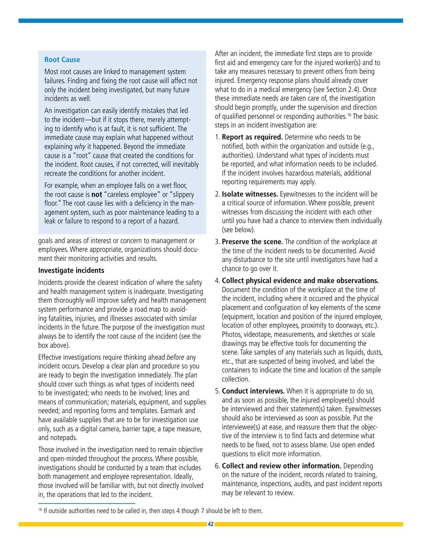#### **Root Cause**

Most root causes are linked to management system failures. Finding and fixing the root cause will affect not only the incident being investigated, but many future incidents as well.

An investigation can easily identify mistakes that led to the incident—but if it stops there, merely attempting to identify who is at fault, it is not sufficient. The immediate cause may explain what happened without explaining why it happened. Beyond the immediate cause is a "root" cause that created the conditions for the incident. Root causes, if not corrected, will inevitably recreate the conditions for another incident.

For example, when an employee falls on a wet floor, the root cause is **not** "careless employee" or "slippery floor." The root cause lies with a deficiency in the management system, such as poor maintenance leading to a leak or failure to respond to a report of a hazard.

goals and areas of interest or concern to management or employees. Where appropriate, organizations should document their monitoring activities and results.

#### **Investigate incidents**

Incidents provide the clearest indication of where the safety and health management system is inadequate. Investigating them thoroughly will improve safety and health management system performance and provide a road map to avoiding fatalities, injuries, and illnesses associated with similar incidents in the future. The purpose of the investigation must always be to identify the root cause of the incident (see the box above).

Effective investigations require thinking ahead before any incident occurs. Develop a clear plan and procedure so you are ready to begin the investigation immediately. The plan should cover such things as what types of incidents need to be investigated; who needs to be involved; lines and means of communication; materials, equipment, and supplies needed; and reporting forms and templates. Earmark and have available supplies that are to be for investigation use only, such as a digital camera, barrier tape, a tape measure, and notepads.

Those involved in the investigation need to remain objective and open-minded throughout the process. Where possible, investigations should be conducted by a team that includes both management and employee representation. Ideally, those involved will be familiar with, but not directly involved in, the operations that led to the incident.

After an incident, the immediate first steps are to provide first aid and emergency care for the injured worker(s) and to take any measures necessary to prevent others from being injured. Emergency response plans should already cover what to do in a medical emergency (see Section 2.4). Once these immediate needs are taken care of, the investigation should begin promptly, under the supervision and direction of qualified personnel or responding authorities.<sup>16</sup> The basic steps in an incident investigation are:

- 1. **Report as required.** Determine who needs to be notified, both within the organization and outside (e.g., authorities). Understand what types of incidents must be reported, and what information needs to be included. If the incident involves hazardous materials, additional reporting requirements may apply.
- 2. **Isolate witnesses.** Eyewitnesses to the incident will be a critical source of information. Where possible, prevent witnesses from discussing the incident with each other until you have had a chance to interview them individually (see below).
- 3. **Preserve the scene.** The condition of the workplace at the time of the incident needs to be documented. Avoid any disturbance to the site until investigators have had a chance to go over it.
- 4. **Collect physical evidence and make observations.** Document the condition of the workplace at the time of the incident, including where it occurred and the physical placement and configuration of key elements of the scene (equipment, location and position of the injured employee, location of other employees, proximity to doorways, etc.). Photos, videotape, measurements, and sketches or scale drawings may be effective tools for documenting the scene. Take samples of any materials such as liquids, dusts, etc., that are suspected of being involved, and label the containers to indicate the time and location of the sample collection.
- 5. **Conduct interviews.** When it is appropriate to do so, and as soon as possible, the injured employee(s) should be interviewed and their statement(s) taken. Eyewitnesses should also be interviewed as soon as possible. Put the interviewee(s) at ease, and reassure them that the objective of the interview is to find facts and determine what needs to be fixed, not to assess blame. Use open ended questions to elicit more information.
- 6. **Collect and review other information.** Depending on the nature of the incident, records related to training, maintenance, inspections, audits, and past incident reports may be relevant to review.

<sup>&</sup>lt;sup>16</sup> If outside authorities need to be called in, then steps 4 though 7 should be left to them.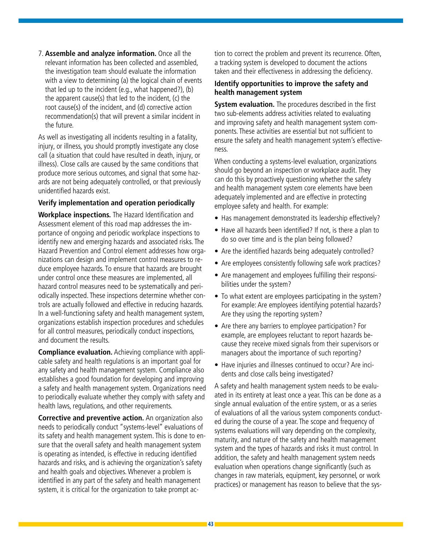7. **Assemble and analyze information.** Once all the relevant information has been collected and assembled, the investigation team should evaluate the information with a view to determining (a) the logical chain of events that led up to the incident (e.g., what happened?), (b) the apparent cause(s) that led to the incident, (c) the root cause(s) of the incident, and (d) corrective action recommendation(s) that will prevent a similar incident in the future.

As well as investigating all incidents resulting in a fatality, injury, or illness, you should promptly investigate any close call (a situation that could have resulted in death, injury, or illness). Close calls are caused by the same conditions that produce more serious outcomes, and signal that some hazards are not being adequately controlled, or that previously unidentified hazards exist.

#### **Verify implementation and operation periodically**

**Workplace inspections.** The Hazard Identification and Assessment element of this road map addresses the importance of ongoing and periodic workplace inspections to identify new and emerging hazards and associated risks. The Hazard Prevention and Control element addresses how organizations can design and implement control measures to reduce employee hazards. To ensure that hazards are brought under control once these measures are implemented, all hazard control measures need to be systematically and periodically inspected. These inspections determine whether controls are actually followed and effective in reducing hazards. In a well-functioning safety and health management system, organizations establish inspection procedures and schedules for all control measures, periodically conduct inspections, and document the results.

**Compliance evaluation.** Achieving compliance with applicable safety and health regulations is an important goal for any safety and health management system. Compliance also establishes a good foundation for developing and improving a safety and health management system. Organizations need to periodically evaluate whether they comply with safety and health laws, regulations, and other requirements.

**Corrective and preventive action.** An organization also needs to periodically conduct "systems-level" evaluations of its safety and health management system. This is done to ensure that the overall safety and health management system is operating as intended, is effective in reducing identified hazards and risks, and is achieving the organization's safety and health goals and objectives. Whenever a problem is identified in any part of the safety and health management system, it is critical for the organization to take prompt ac-

tion to correct the problem and prevent its recurrence. Often, a tracking system is developed to document the actions taken and their effectiveness in addressing the deficiency.

#### **Identify opportunities to improve the safety and health management system**

**System evaluation.** The procedures described in the first two sub-elements address activities related to evaluating and improving safety and health management system components. These activities are essential but not sufficient to ensure the safety and health management system's effectiveness.

When conducting a systems-level evaluation, organizations should go beyond an inspection or workplace audit. They can do this by proactively questioning whether the safety and health management system core elements have been adequately implemented and are effective in protecting employee safety and health. For example:

- Has management demonstrated its leadership effectively?
- Have all hazards been identified? If not, is there a plan to do so over time and is the plan being followed?
- Are the identified hazards being adequately controlled?
- Are employees consistently following safe work practices?
- Are management and employees fulfilling their responsibilities under the system?
- To what extent are employees participating in the system? For example: Are employees identifying potential hazards? Are they using the reporting system?
- Are there any barriers to employee participation? For example, are employees reluctant to report hazards because they receive mixed signals from their supervisors or managers about the importance of such reporting?
- Have injuries and illnesses continued to occur? Are incidents and close calls being investigated?

A safety and health management system needs to be evaluated in its entirety at least once a year. This can be done as a single annual evaluation of the entire system, or as a series of evaluations of all the various system components conducted during the course of a year. The scope and frequency of systems evaluations will vary depending on the complexity, maturity, and nature of the safety and health management system and the types of hazards and risks it must control. In addition, the safety and health management system needs evaluation when operations change significantly (such as changes in raw materials, equipment, key personnel, or work practices) or management has reason to believe that the sys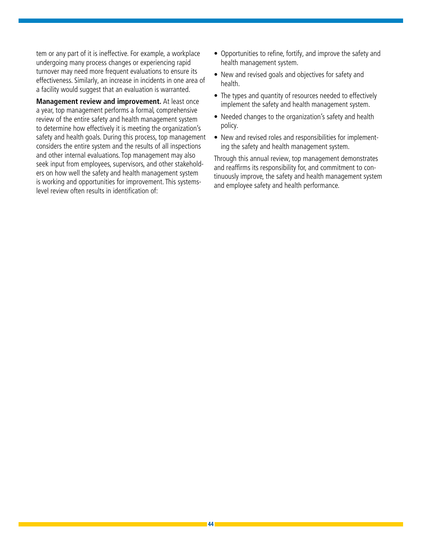tem or any part of it is ineffective. For example, a workplace undergoing many process changes or experiencing rapid turnover may need more frequent evaluations to ensure its effectiveness. Similarly, an increase in incidents in one area of a facility would suggest that an evaluation is warranted.

**Management review and improvement.** At least once a year, top management performs a formal, comprehensive review of the entire safety and health management system to determine how effectively it is meeting the organization's safety and health goals. During this process, top management considers the entire system and the results of all inspections and other internal evaluations. Top management may also seek input from employees, supervisors, and other stakeholders on how well the safety and health management system is working and opportunities for improvement. This systemslevel review often results in identification of:

- Opportunities to refine, fortify, and improve the safety and health management system.
- New and revised goals and objectives for safety and health.
- The types and quantity of resources needed to effectively implement the safety and health management system.
- Needed changes to the organization's safety and health policy.
- New and revised roles and responsibilities for implementing the safety and health management system.

Through this annual review, top management demonstrates and reaffirms its responsibility for, and commitment to continuously improve, the safety and health management system and employee safety and health performance.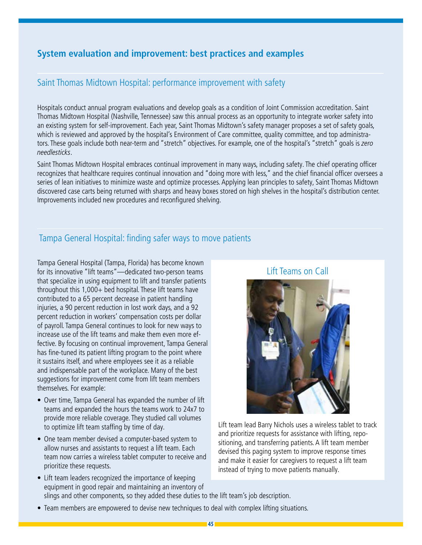### **System evaluation and improvement: best practices and examples**

### Saint Thomas Midtown Hospital: performance improvement with safety

Hospitals conduct annual program evaluations and develop goals as a condition of Joint Commission accreditation. Saint Thomas Midtown Hospital (Nashville, Tennessee) saw this annual process as an opportunity to integrate worker safety into an existing system for self-improvement. Each year, Saint Thomas Midtown's safety manager proposes a set of safety goals, which is reviewed and approved by the hospital's Environment of Care committee, quality committee, and top administrators. These goals include both near-term and "stretch" objectives. For example, one of the hospital's "stretch" goals is zero needlesticks.

Saint Thomas Midtown Hospital embraces continual improvement in many ways, including safety. The chief operating officer recognizes that healthcare requires continual innovation and "doing more with less," and the chief financial officer oversees a series of lean initiatives to minimize waste and optimize processes. Applying lean principles to safety, Saint Thomas Midtown discovered case carts being returned with sharps and heavy boxes stored on high shelves in the hospital's distribution center. Improvements included new procedures and reconfigured shelving.

### Tampa General Hospital: finding safer ways to move patients

Tampa General Hospital (Tampa, Florida) has become known for its innovative "lift teams"—dedicated two-person teams that specialize in using equipment to lift and transfer patients throughout this 1,000+ bed hospital. These lift teams have contributed to a 65 percent decrease in patient handling injuries, a 90 percent reduction in lost work days, and a 92 percent reduction in workers' compensation costs per dollar of payroll. Tampa General continues to look for new ways to increase use of the lift teams and make them even more effective. By focusing on continual improvement, Tampa General has fine-tuned its patient lifting program to the point where it sustains itself, and where employees see it as a reliable and indispensable part of the workplace. Many of the best suggestions for improvement come from lift team members themselves. For example:

- Over time, Tampa General has expanded the number of lift teams and expanded the hours the teams work to 24x7 to provide more reliable coverage. They studied call volumes to optimize lift team staffing by time of day.
- One team member devised a computer-based system to allow nurses and assistants to request a lift team. Each team now carries a wireless tablet computer to receive and prioritize these requests.

### Lift Teams on Call



Lift team lead Barry Nichols uses a wireless tablet to track and prioritize requests for assistance with lifting, repositioning, and transferring patients. A lift team member devised this paging system to improve response times and make it easier for caregivers to request a lift team instead of trying to move patients manually.

- Lift team leaders recognized the importance of keeping equipment in good repair and maintaining an inventory of slings and other components, so they added these duties to the lift team's job description.
- Team members are empowered to devise new techniques to deal with complex lifting situations.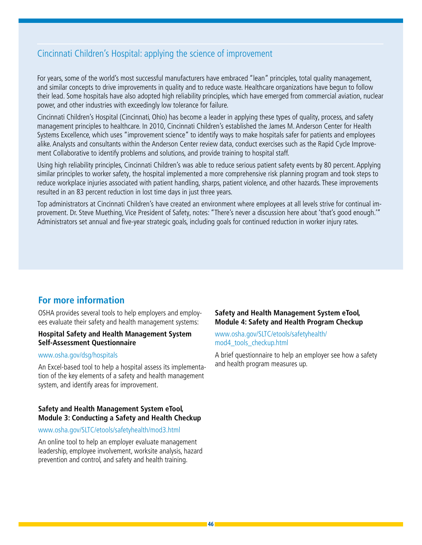### Cincinnati Children's Hospital: applying the science of improvement

For years, some of the world's most successful manufacturers have embraced "lean" principles, total quality management, and similar concepts to drive improvements in quality and to reduce waste. Healthcare organizations have begun to follow their lead. Some hospitals have also adopted high reliability principles, which have emerged from commercial aviation, nuclear power, and other industries with exceedingly low tolerance for failure.

Cincinnati Children's Hospital (Cincinnati, Ohio) has become a leader in applying these types of quality, process, and safety management principles to healthcare. In 2010, Cincinnati Children's established the James M. Anderson Center for Health Systems Excellence, which uses "improvement science" to identify ways to make hospitals safer for patients and employees alike. Analysts and consultants within the Anderson Center review data, conduct exercises such as the Rapid Cycle Improvement Collaborative to identify problems and solutions, and provide training to hospital staff.

Using high reliability principles, Cincinnati Children's was able to reduce serious patient safety events by 80 percent. Applying similar principles to worker safety, the hospital implemented a more comprehensive risk planning program and took steps to reduce workplace injuries associated with patient handling, sharps, patient violence, and other hazards. These improvements resulted in an 83 percent reduction in lost time days in just three years.

Top administrators at Cincinnati Children's have created an environment where employees at all levels strive for continual improvement. Dr. Steve Muething, Vice President of Safety, notes: "There's never a discussion here about 'that's good enough.'" Administrators set annual and five-year strategic goals, including goals for continued reduction in worker injury rates.

### **For more information**

OSHA provides several tools to help employers and employees evaluate their safety and health management systems:

#### **Hospital Safety and Health Management System Self-Assessment Questionnaire**

#### www.osha.gov/dsg/hospitals

An Excel-based tool to help a hospital assess its implementation of the key elements of a safety and health management system, and identify areas for improvement.

#### **Safety and Health Management System eTool, Module 3: Conducting a Safety and Health Checkup**

#### www.osha.gov/SLTC/etools/safetyhealth/mod3.html

An online tool to help an employer evaluate management leadership, employee involvement, worksite analysis, hazard prevention and control, and safety and health training.

#### **Safety and Health Management System eTool, Module 4: Safety and Health Program Checkup**

#### [www.osha.gov/SLTC/etools/safetyhealth/](www.osha.gov/SLTC/etools/safetyhealth/mod4_tools_­checkup.html) [mod4\\_tools\\_checkup.html](www.osha.gov/SLTC/etools/safetyhealth/mod4_tools_­checkup.html)

A brief questionnaire to help an employer see how a safety and health program measures up.